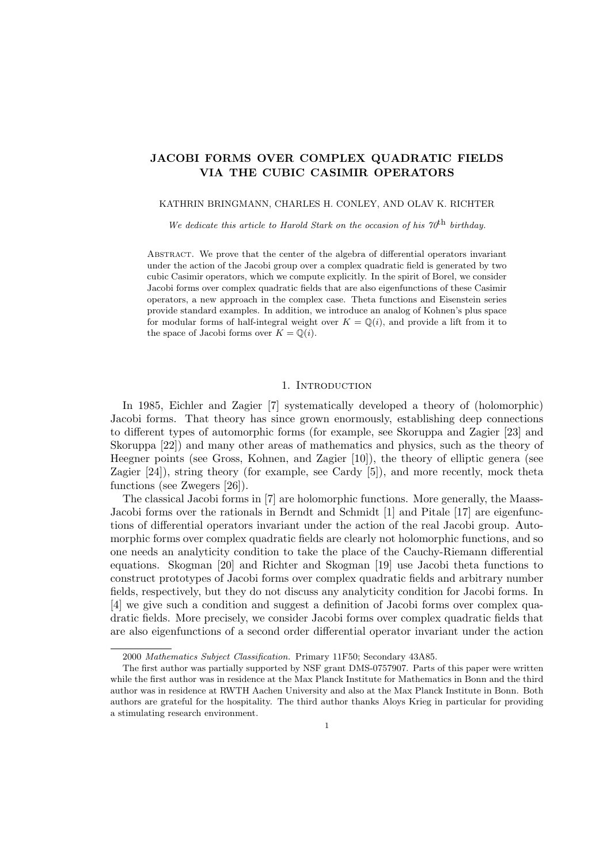# JACOBI FORMS OVER COMPLEX QUADRATIC FIELDS VIA THE CUBIC CASIMIR OPERATORS

### KATHRIN BRINGMANN, CHARLES H. CONLEY, AND OLAV K. RICHTER

We dedicate this article to Harold Stark on the occasion of his  $70<sup>th</sup>$  birthday.

Abstract. We prove that the center of the algebra of differential operators invariant under the action of the Jacobi group over a complex quadratic field is generated by two cubic Casimir operators, which we compute explicitly. In the spirit of Borel, we consider Jacobi forms over complex quadratic fields that are also eigenfunctions of these Casimir operators, a new approach in the complex case. Theta functions and Eisenstein series provide standard examples. In addition, we introduce an analog of Kohnen's plus space for modular forms of half-integral weight over  $K = \mathbb{Q}(i)$ , and provide a lift from it to the space of Jacobi forms over  $K = \mathbb{Q}(i)$ .

# 1. INTRODUCTION

In 1985, Eichler and Zagier [7] systematically developed a theory of (holomorphic) Jacobi forms. That theory has since grown enormously, establishing deep connections to different types of automorphic forms (for example, see Skoruppa and Zagier [23] and Skoruppa [22]) and many other areas of mathematics and physics, such as the theory of Heegner points (see Gross, Kohnen, and Zagier [10]), the theory of elliptic genera (see Zagier [24]), string theory (for example, see Cardy [5]), and more recently, mock theta functions (see Zwegers [26]).

The classical Jacobi forms in [7] are holomorphic functions. More generally, the Maass-Jacobi forms over the rationals in Berndt and Schmidt [1] and Pitale [17] are eigenfunctions of differential operators invariant under the action of the real Jacobi group. Automorphic forms over complex quadratic fields are clearly not holomorphic functions, and so one needs an analyticity condition to take the place of the Cauchy-Riemann differential equations. Skogman [20] and Richter and Skogman [19] use Jacobi theta functions to construct prototypes of Jacobi forms over complex quadratic fields and arbitrary number fields, respectively, but they do not discuss any analyticity condition for Jacobi forms. In [4] we give such a condition and suggest a definition of Jacobi forms over complex quadratic fields. More precisely, we consider Jacobi forms over complex quadratic fields that are also eigenfunctions of a second order differential operator invariant under the action

<sup>2000</sup> Mathematics Subject Classification. Primary 11F50; Secondary 43A85.

The first author was partially supported by NSF grant DMS-0757907. Parts of this paper were written while the first author was in residence at the Max Planck Institute for Mathematics in Bonn and the third author was in residence at RWTH Aachen University and also at the Max Planck Institute in Bonn. Both authors are grateful for the hospitality. The third author thanks Aloys Krieg in particular for providing a stimulating research environment.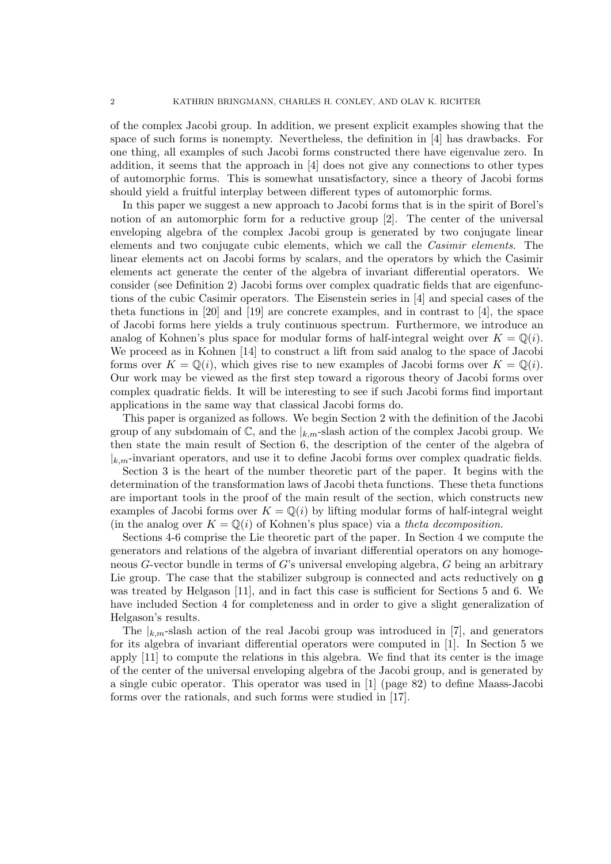of the complex Jacobi group. In addition, we present explicit examples showing that the space of such forms is nonempty. Nevertheless, the definition in [4] has drawbacks. For one thing, all examples of such Jacobi forms constructed there have eigenvalue zero. In addition, it seems that the approach in [4] does not give any connections to other types of automorphic forms. This is somewhat unsatisfactory, since a theory of Jacobi forms should yield a fruitful interplay between different types of automorphic forms.

In this paper we suggest a new approach to Jacobi forms that is in the spirit of Borel's notion of an automorphic form for a reductive group [2]. The center of the universal enveloping algebra of the complex Jacobi group is generated by two conjugate linear elements and two conjugate cubic elements, which we call the Casimir elements. The linear elements act on Jacobi forms by scalars, and the operators by which the Casimir elements act generate the center of the algebra of invariant differential operators. We consider (see Definition 2) Jacobi forms over complex quadratic fields that are eigenfunctions of the cubic Casimir operators. The Eisenstein series in [4] and special cases of the theta functions in [20] and [19] are concrete examples, and in contrast to [4], the space of Jacobi forms here yields a truly continuous spectrum. Furthermore, we introduce an analog of Kohnen's plus space for modular forms of half-integral weight over  $K = \mathbb{Q}(i)$ . We proceed as in Kohnen [14] to construct a lift from said analog to the space of Jacobi forms over  $K = \mathbb{Q}(i)$ , which gives rise to new examples of Jacobi forms over  $K = \mathbb{Q}(i)$ . Our work may be viewed as the first step toward a rigorous theory of Jacobi forms over complex quadratic fields. It will be interesting to see if such Jacobi forms find important applications in the same way that classical Jacobi forms do.

This paper is organized as follows. We begin Section 2 with the definition of the Jacobi group of any subdomain of  $\mathbb{C}$ , and the  $|_{k,m}$ -slash action of the complex Jacobi group. We then state the main result of Section 6, the description of the center of the algebra of  $|k_m$ -invariant operators, and use it to define Jacobi forms over complex quadratic fields.

Section 3 is the heart of the number theoretic part of the paper. It begins with the determination of the transformation laws of Jacobi theta functions. These theta functions are important tools in the proof of the main result of the section, which constructs new examples of Jacobi forms over  $K = \mathbb{Q}(i)$  by lifting modular forms of half-integral weight (in the analog over  $K = \mathbb{Q}(i)$  of Kohnen's plus space) via a theta decomposition.

Sections 4-6 comprise the Lie theoretic part of the paper. In Section 4 we compute the generators and relations of the algebra of invariant differential operators on any homogeneous G-vector bundle in terms of G's universal enveloping algebra, G being an arbitrary Lie group. The case that the stabilizer subgroup is connected and acts reductively on g was treated by Helgason [11], and in fact this case is sufficient for Sections 5 and 6. We have included Section 4 for completeness and in order to give a slight generalization of Helgason's results.

The  $|_{k,m}$ -slash action of the real Jacobi group was introduced in [7], and generators for its algebra of invariant differential operators were computed in [1]. In Section 5 we apply [11] to compute the relations in this algebra. We find that its center is the image of the center of the universal enveloping algebra of the Jacobi group, and is generated by a single cubic operator. This operator was used in [1] (page 82) to define Maass-Jacobi forms over the rationals, and such forms were studied in [17].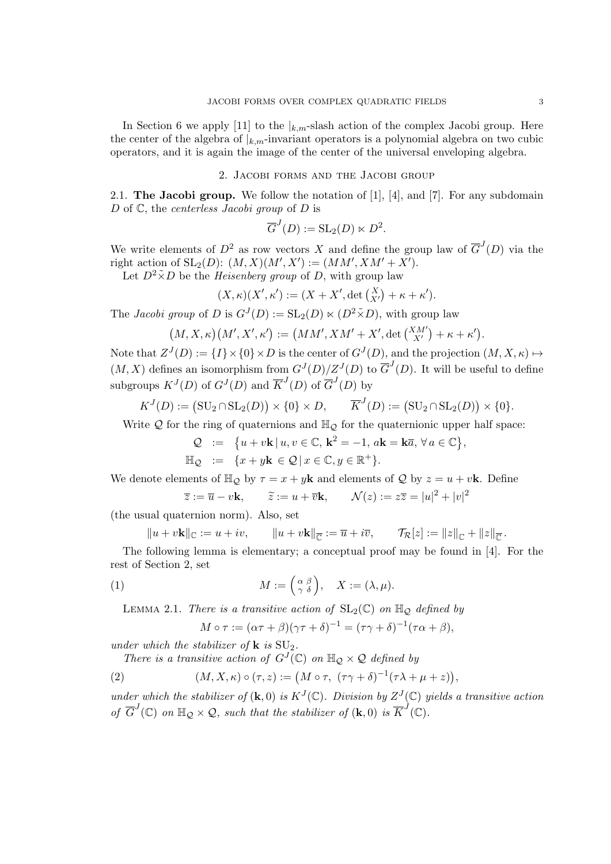In Section 6 we apply [11] to the  $\vert_{k,m}$ -slash action of the complex Jacobi group. Here the center of the algebra of  $|_{k,m}$ -invariant operators is a polynomial algebra on two cubic operators, and it is again the image of the center of the universal enveloping algebra.

## 2. Jacobi forms and the Jacobi group

2.1. The Jacobi group. We follow the notation of [1], [4], and [7]. For any subdomain D of  $\mathbb C$ , the *centerless Jacobi group* of D is

$$
\overline{G}^J(D) := \operatorname{SL}_2(D) \ltimes D^2.
$$

We write elements of  $D^2$  as row vectors X and define the group law of  $\overline{G}^J(D)$  via the right action of  $SL_2(D)$ :  $(M, X)(M', X') := (MM', XM' + X')$ .

Let  $D^2 \tilde{\times} D$  be the *Heisenberg group* of D, with group law

$$
(X,\kappa)(X',\kappa') := (X + X', \det\begin{pmatrix} X \\ X' \end{pmatrix} + \kappa + \kappa').
$$

The *Jacobi group* of D is  $G^{J}(D) := SL_2(D) \ltimes (D^2 \tilde{\times} D)$ , with group law

$$
(M,X,\kappa)\big(M',X',\kappa'\big):=\big(MM',XM'+X',\det{XM'\choose X'}+\kappa+\kappa'\big).
$$

Note that  $Z^{J}(D) := \{I\} \times \{0\} \times D$  is the center of  $G^{J}(D)$ , and the projection  $(M, X, \kappa) \mapsto$  $(M, X)$  defines an isomorphism from  $G^{J}(D)/Z^{J}(D)$  to  $\overline{G}^{J}(D)$ . It will be useful to define subgroups  $K^{J}(D)$  of  $G^{J}(D)$  and  $\overline{K}^{J}(D)$  of  $\overline{G}^{J}(D)$  by

$$
K^{J}(D) := (\operatorname{SU}_2 \cap \operatorname{SL}_2(D)) \times \{0\} \times D, \qquad \overline{K}^{J}(D) := (\operatorname{SU}_2 \cap \operatorname{SL}_2(D)) \times \{0\}.
$$

Write  $Q$  for the ring of quaternions and  $\mathbb{H}_Q$  for the quaternionic upper half space:

$$
Q := \{ u + v\mathbf{k} | u, v \in \mathbb{C}, \mathbf{k}^2 = -1, a\mathbf{k} = \mathbf{k}\overline{a}, \forall a \in \mathbb{C} \}
$$
  

$$
\mathbb{H}_{Q} := \{ x + y\mathbf{k} \in Q | x \in \mathbb{C}, y \in \mathbb{R}^+ \}.
$$

,

,

We denote elements of  $\mathbb{H}_{\mathcal{Q}}$  by  $\tau = x + y\mathbf{k}$  and elements of  $\mathcal{Q}$  by  $z = u + v\mathbf{k}$ . Define

$$
\overline{z} := \overline{u} - v\mathbf{k}, \qquad \widetilde{z} := u + \overline{v}\mathbf{k}, \qquad \mathcal{N}(z) := z\overline{z} = |u|^2 + |v|^2
$$

(the usual quaternion norm). Also, set

$$
||u + v\mathbf{k}||_{\mathbb{C}} := u + iv, \qquad ||u + v\mathbf{k}||_{\overline{\mathbb{C}}} := \overline{u} + i\overline{v}, \qquad \mathcal{T}_{\mathcal{R}}[z] := ||z||_{\mathbb{C}} + ||z||_{\overline{\mathbb{C}}}.
$$

The following lemma is elementary; a conceptual proof may be found in [4]. For the rest of Section 2, set

(1) 
$$
M := \begin{pmatrix} \alpha & \beta \\ \gamma & \delta \end{pmatrix}, \quad X := (\lambda, \mu).
$$

LEMMA 2.1. There is a transitive action of  $SL_2(\mathbb{C})$  on  $\mathbb{H}_{\mathcal{Q}}$  defined by

$$
M \circ \tau := (\alpha \tau + \beta)(\gamma \tau + \delta)^{-1} = (\tau \gamma + \delta)^{-1}(\tau \alpha + \beta),
$$

under which the stabilizer of  $\bf{k}$  is  $\rm{SU}_2$ .

There is a transitive action of  $G^{J}(\mathbb{C})$  on  $\mathbb{H}_{\mathcal{Q}} \times \mathcal{Q}$  defined by

(2) 
$$
(M, X, \kappa) \circ (\tau, z) := (M \circ \tau, (\tau \gamma + \delta)^{-1} (\tau \lambda + \mu + z))
$$

under which the stabilizer of  $(\mathbf{k},0)$  is  $K^{J}(\mathbb{C})$ . Division by  $Z^{J}(\mathbb{C})$  yields a transitive action of  $\overline{G}^J(\mathbb{C})$  on  $\mathbb{H}_{\mathcal{Q}} \times \mathcal{Q}$ , such that the stabilizer of  $(\mathbf{k},0)$  is  $\overline{K}^J(\mathbb{C})$ .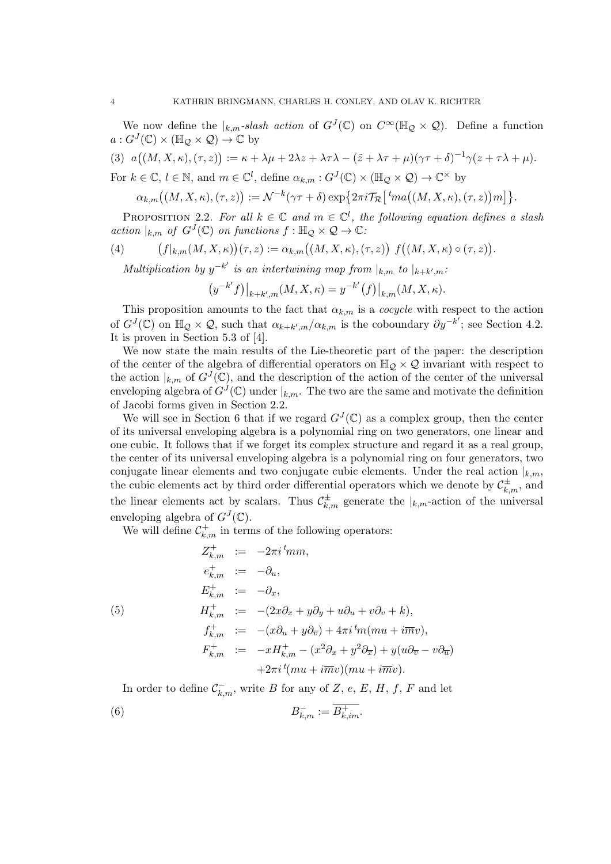We now define the  $|_{k,m}$ -slash action of  $G^{J}(\mathbb{C})$  on  $C^{\infty}(\mathbb{H}_{\mathcal{Q}} \times \mathcal{Q})$ . Define a function  $a: G^J(\mathbb{C}) \times (\mathbb{H}_{\mathcal{Q}} \times \mathcal{Q}) \to \mathbb{C}$  by

(3) 
$$
a((M, X, \kappa), (\tau, z)) := \kappa + \lambda \mu + 2\lambda z + \lambda \tau \lambda - (\tilde{z} + \lambda \tau + \mu)(\gamma \tau + \delta)^{-1} \gamma (z + \tau \lambda + \mu).
$$
  
For  $k \in \mathbb{C}$ ,  $l \in \mathbb{N}$ , and  $m \in \mathbb{C}^l$ , define  $\alpha_{k,m} : G^J(\mathbb{C}) \times (\mathbb{H}_{\mathcal{Q}} \times \mathcal{Q}) \to \mathbb{C}^\times$  by

$$
\alpha_{k,m}((M,X,\kappa),(\tau,z)):=\mathcal{N}^{-k}(\gamma\tau+\delta)\exp\bigl\{2\pi i\mathcal{T}_{\mathcal{R}}\bigl[\,{}^t\!m a\bigl((M,X,\kappa),(\tau,z\bigr)\bigr)m\bigr]\bigr\}.
$$

PROPOSITION 2.2. For all  $k \in \mathbb{C}$  and  $m \in \mathbb{C}^l$ , the following equation defines a slash action  $|_{k,m}$  of  $G^J(\mathbb{C})$  on functions  $f: \mathbb{H}_{\mathcal{Q}} \times \mathcal{Q} \to \mathbb{C}$ .

(4) 
$$
(f|_{k,m}(M,X,\kappa))(\tau,z):=\alpha_{k,m}((M,X,\kappa),(\tau,z))\ f((M,X,\kappa)\circ(\tau,z)).
$$

Multiplication by  $y^{-k'}$  is an intertwining map from  $|_{k,m}$  to  $|_{k+k',m}$ .

$$
\left.\left(y^{-k'}f\right)\right|_{k+k',m}(M,X,\kappa)=y^{-k'}\big(f\big)\big|_{k,m}(M,X,\kappa).
$$

This proposition amounts to the fact that  $\alpha_{k,m}$  is a *cocycle* with respect to the action of  $G^{J}(\mathbb{C})$  on  $\mathbb{H}_{\mathcal{Q}} \times \mathcal{Q}$ , such that  $\alpha_{k+k',m}/\alpha_{k,m}$  is the coboundary  $\partial y^{-k'}$ ; see Section 4.2. It is proven in Section 5.3 of [4].

We now state the main results of the Lie-theoretic part of the paper: the description of the center of the algebra of differential operators on  $\mathbb{H}_{\mathcal{Q}} \times \mathcal{Q}$  invariant with respect to the action  $|_{k,m}$  of  $G^{J}(\mathbb{C})$ , and the description of the action of the center of the universal enveloping algebra of  $G^{J}(\mathbb{C})$  under  $|_{k,m}$ . The two are the same and motivate the definition of Jacobi forms given in Section 2.2.

We will see in Section 6 that if we regard  $G^{J}(\mathbb{C})$  as a complex group, then the center of its universal enveloping algebra is a polynomial ring on two generators, one linear and one cubic. It follows that if we forget its complex structure and regard it as a real group, the center of its universal enveloping algebra is a polynomial ring on four generators, two conjugate linear elements and two conjugate cubic elements. Under the real action  $|_{k,m}$ , the cubic elements act by third order differential operators which we denote by  $\mathcal{C}_{k,m}^{\pm}$ , and the linear elements act by scalars. Thus  $\mathcal{C}_{k,m}^{\pm}$  generate the  $|_{k,m}$ -action of the universal enveloping algebra of  $G^{J}(\mathbb{C})$ .

We will define  $\mathcal{C}_{k,m}^+$  in terms of the following operators:

$$
Z_{k,m}^{+} := -2\pi i \,^t \! mm,
$$
  
\n
$$
e_{k,m}^{+} := -\partial_u,
$$
  
\n
$$
E_{k,m}^{+} := -\partial_x,
$$
  
\n(5) 
$$
H_{k,m}^{+} := -(2x\partial_x + y\partial_y + u\partial_u + v\partial_v + k),
$$
  
\n
$$
f_{k,m}^{+} := -(x\partial_u + y\partial_{\overline{v}}) + 4\pi i \,^t \! m(mu + i\overline{m}v),
$$
  
\n
$$
F_{k,m}^{+} := -xH_{k,m}^{+} - (x^2\partial_x + y^2\partial_{\overline{x}}) + y(u\partial_{\overline{v}} - v\partial_{\overline{u}})
$$
  
\n
$$
+2\pi i \,^t \! (mu + i\overline{m}v)(mu + i\overline{m}v).
$$

In order to define  $\mathcal{C}_{k,m}^-$ , write B for any of Z, e, E, H, f, F and let  $(B)$  B  $\overline{\kappa_{k,m}} := \overline{B_{k,im}^+}.$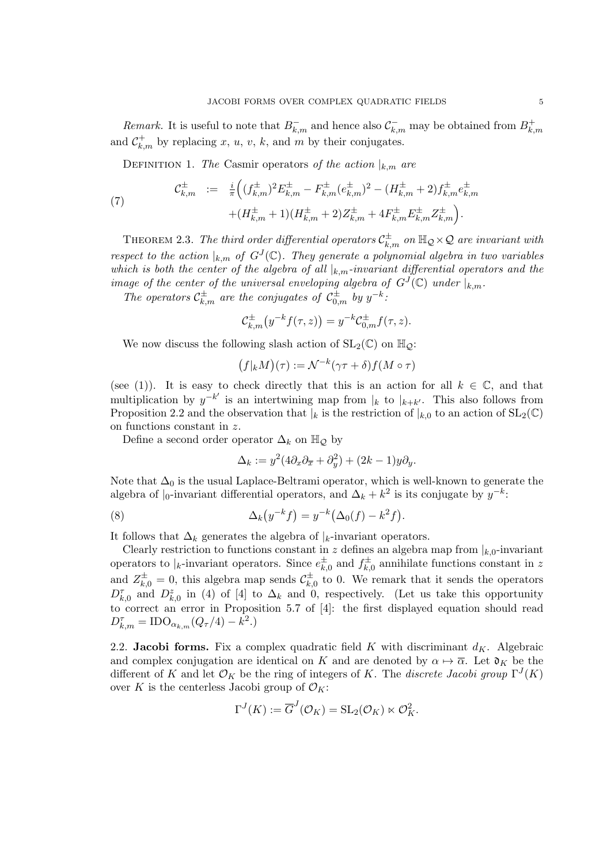Remark. It is useful to note that  $B_{k,m}^-$  and hence also  $\mathcal{C}_{k,m}^-$  may be obtained from  $B_{k,m}^+$  $k,m$ and  $C_{k,m}^+$  by replacing x, u, v, k, and m by their conjugates.

DEFINITION 1. The Casmir operators of the action  $|_{k,m}$  are

(7) 
$$
\mathcal{C}_{k,m}^{\pm} := \frac{i}{\pi} \Big( (f_{k,m}^{\pm})^2 E_{k,m}^{\pm} - F_{k,m}^{\pm} (e_{k,m}^{\pm})^2 - (H_{k,m}^{\pm} + 2) f_{k,m}^{\pm} e_{k,m}^{\pm} + (H_{k,m}^{\pm} + 1)(H_{k,m}^{\pm} + 2) Z_{k,m}^{\pm} + 4 F_{k,m}^{\pm} E_{k,m}^{\pm} Z_{k,m}^{\pm} \Big).
$$

THEOREM 2.3. The third order differential operators  $\mathcal{C}^\pm_{k,m}$  on  $\mathbb{H}_\mathcal{Q} \times \mathcal{Q}$  are invariant with respect to the action  $|_{k,m}$  of  $G^{J}(\mathbb{C})$ . They generate a polynomial algebra in two variables which is both the center of the algebra of all  $|_{k,m}$ -invariant differential operators and the image of the center of the universal enveloping algebra of  $G^{J}(\mathbb{C})$  under  $|_{k,m}$ .

The operators  $C_{k,m}^{\pm}$  are the conjugates of  $C_{0,m}^{\pm}$  by  $y^{-k}$ .

$$
\mathcal{C}_{k,m}^{\pm}\big(y^{-k}f(\tau,z)\big) = y^{-k}\mathcal{C}_{0,m}^{\pm}f(\tau,z).
$$

We now discuss the following slash action of  $SL_2(\mathbb{C})$  on  $\mathbb{H}_{\mathcal{O}}$ :

$$
(f|_k M)(\tau) := \mathcal{N}^{-k}(\gamma \tau + \delta) f(M \circ \tau)
$$

(see (1)). It is easy to check directly that this is an action for all  $k \in \mathbb{C}$ , and that multiplication by  $y^{-k'}$  is an intertwining map from  $|_k$  to  $|_{k+k'}$ . This also follows from Proposition 2.2 and the observation that  $|k|$  is the restriction of  $|k|$ , to an action of  $SL_2(\mathbb{C})$ on functions constant in z.

Define a second order operator  $\Delta_k$  on  $\mathbb{H}_{\mathcal{Q}}$  by

$$
\Delta_k := y^2 (4\partial_x \partial_{\overline{x}} + \partial_y^2) + (2k - 1)y \partial_y.
$$

Note that  $\Delta_0$  is the usual Laplace-Beltrami operator, which is well-known to generate the algebra of  $|_0$ -invariant differential operators, and  $\Delta_k + k^2$  is its conjugate by  $y^{-k}$ .

(8) 
$$
\Delta_k(y^{-k}f) = y^{-k}(\Delta_0(f) - k^2f).
$$

It follows that  $\Delta_k$  generates the algebra of  $|k$ -invariant operators.

Clearly restriction to functions constant in z defines an algebra map from  $|_{k,0}$ -invariant operators to  $\vert_k$ -invariant operators. Since  $e_k^{\pm}$  $\frac{\pm}{k,0}$  and  $f_{k,0}^{\pm}$  $\chi_{k,0}^{\pm}$  annihilate functions constant in z and  $Z_{k,0}^{\pm} = 0$ , this algebra map sends  $\mathcal{C}_{k,0}^{\pm}$  $\chi_{k,0}^{\pm}$  to 0. We remark that it sends the operators  $D_{k,0}^{\tau}$  and  $D_{k,0}^{\tau}$  in (4) of [4] to  $\Delta_k$  and 0, respectively. (Let us take this opportunity to correct an error in Proposition 5.7 of [4]: the first displayed equation should read  $D_{k,m}^{\tau} = \text{IDO}_{\alpha_{k,m}}(Q_{\tau}/4) - k^2.$ 

2.2. Jacobi forms. Fix a complex quadratic field K with discriminant  $d_K$ . Algebraic and complex conjugation are identical on K and are denoted by  $\alpha \mapsto \overline{\alpha}$ . Let  $\mathfrak{d}_K$  be the different of K and let  $\mathcal{O}_K$  be the ring of integers of K. The *discrete Jacobi group*  $\Gamma^J(K)$ over K is the centerless Jacobi group of  $\mathcal{O}_K$ :

$$
\Gamma^J(K) := \overline{G}^J(\mathcal{O}_K) = \operatorname{SL}_2(\mathcal{O}_K) \ltimes \mathcal{O}_K^2.
$$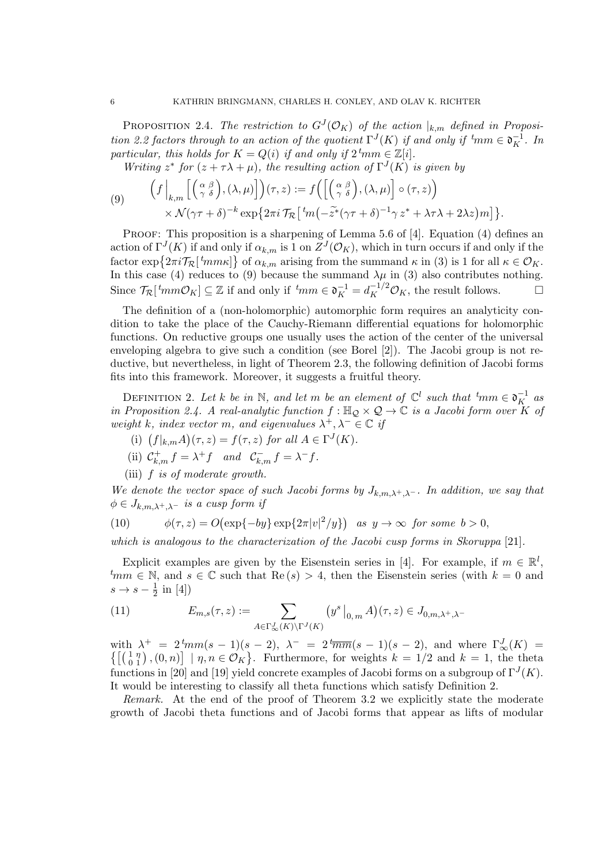PROPOSITION 2.4. The restriction to  $G^{J}(\mathcal{O}_{K})$  of the action  $|_{k,m}$  defined in Proposition 2.2 factors through to an action of the quotient  $\Gamma^{J}(K)$  if and only if  ${}^{t} \! mm \in \mathfrak{d}_{K}^{-1}$ . In particular, this holds for  $K = Q(i)$  if and only if  $2^{\ell}$ mm  $\in \mathbb{Z}[i]$ .

Writing  $z^*$  for  $(z + \tau \lambda + \mu)$ , the resulting action of  $\Gamma^{J}(K)$  is given by

(9) 
$$
\left(f\Big|_{k,m}\Big[\Big(\begin{array}{cc} \alpha \ \beta \\ \gamma \ \delta \end{array}\Big),(\lambda,\mu)\Big]\right)(\tau,z) := f\Big(\Big[\Big(\begin{array}{cc} \alpha \ \beta \\ \gamma \ \delta \end{array}\Big),(\lambda,\mu)\Big] \circ (\tau,z)\Big) \\ \times \mathcal{N}(\gamma\tau+\delta)^{-k} \exp\big\{2\pi i \mathcal{T}_{\mathcal{R}}\big[\,{}^t m\big(-\tilde{z}^*(\gamma\tau+\delta)^{-1}\gamma\,z^* + \lambda\tau\lambda + 2\lambda z\big)m\big]\big\}.
$$

PROOF: This proposition is a sharpening of Lemma 5.6 of [4]. Equation (4) defines an action of  $\Gamma^{J}(K)$  if and only if  $\alpha_{k,m}$  is 1 on  $Z^{J}(\mathcal{O}_{K})$ , which in turn occurs if and only if the factor  $\exp\left\{2\pi i \mathcal{T}_{\mathcal{R}}\left[\,^t m m \kappa\right]\right\}$  of  $\alpha_{k,m}$  arising from the summand  $\kappa$  in (3) is 1 for all  $\kappa \in \mathcal{O}_K$ . In this case (4) reduces to (9) because the summand  $\lambda \mu$  in (3) also contributes nothing. Since  $\mathcal{T}_{\mathcal{R}}\left[\ ^t m m \mathcal{O}_K \right] \subseteq \mathbb{Z}$  if and only if  $\ ^t m m \in \mathfrak{d}_K^{-1} = d_K^{-1/2} \mathcal{O}_K$ , the result follows.

The definition of a (non-holomorphic) automorphic form requires an analyticity condition to take the place of the Cauchy-Riemann differential equations for holomorphic functions. On reductive groups one usually uses the action of the center of the universal enveloping algebra to give such a condition (see Borel [2]). The Jacobi group is not reductive, but nevertheless, in light of Theorem 2.3, the following definition of Jacobi forms fits into this framework. Moreover, it suggests a fruitful theory.

DEFINITION 2. Let k be in N, and let m be an element of  $\mathbb{C}^l$  such that  ${}^t$ mm  $\in \mathfrak{d}_K^{-1}$  as in Proposition 2.4. A real-analytic function  $f : \mathbb{H}_{\mathcal{Q}} \times \mathcal{Q} \to \mathbb{C}$  is a Jacobi form over  $\overline{K}$  of weight k, index vector m, and eigenvalues  $\lambda^+, \lambda^- \in \mathbb{C}$  if

- (i)  $(f|_{k,m}A)(\tau,z) = f(\tau,z)$  for all  $A \in \Gamma^{J}(K)$ .
- (ii)  $C_{k,m}^+ f = \lambda^+ f$  and  $C_{k,m}^- f = \lambda^- f$ .
- (iii)  $f$  is of moderate growth.

We denote the vector space of such Jacobi forms by  $J_{k,m,\lambda^+,\lambda^-}$ . In addition, we say that  $\phi \in J_{k,m,\lambda^+,\lambda^-}$  is a cusp form if

(10) 
$$
\phi(\tau, z) = O(\exp\{-by\} \exp\{2\pi |v|^2/y\}) \text{ as } y \to \infty \text{ for some } b > 0,
$$

which is analogous to the characterization of the Jacobi cusp forms in Skoruppa [21].

Explicit examples are given by the Eisenstein series in [4]. For example, if  $m \in \mathbb{R}^l$ ,  $t_{mm} \in \mathbb{N}$ , and  $s \in \mathbb{C}$  such that  $\text{Re}(s) > 4$ , then the Eisenstein series (with  $k = 0$  and  $s \to s-\frac{1}{2}$  $rac{1}{2}$  in [4])

(11) 
$$
E_{m,s}(\tau,z) := \sum_{A \in \Gamma_{\infty}^J(K) \backslash \Gamma^J(K)} \left( y^s \big|_{0,m} A \right) (\tau,z) \in J_{0,m,\lambda^+, \lambda^-}
$$

with  $\lambda^+ = 2^t m m (s-1)(s-2)$ ,  $\lambda^- = 2^t \overline{mm}(s-1)(s-2)$ , and where  $\Gamma_\infty^J(K) =$  $\left\{ \begin{bmatrix} \begin{pmatrix} 1 & \eta \\ 0 & 1 \end{pmatrix}, (0, n) \end{pmatrix} \mid \eta, n \in \mathcal{O}_K \right\}$ . Furthermore, for weights  $k = 1/2$  and  $k = 1$ , the theta functions in [20] and [19] yield concrete examples of Jacobi forms on a subgroup of  $\Gamma^{J}(K)$ . It would be interesting to classify all theta functions which satisfy Definition 2.

Remark. At the end of the proof of Theorem 3.2 we explicitly state the moderate growth of Jacobi theta functions and of Jacobi forms that appear as lifts of modular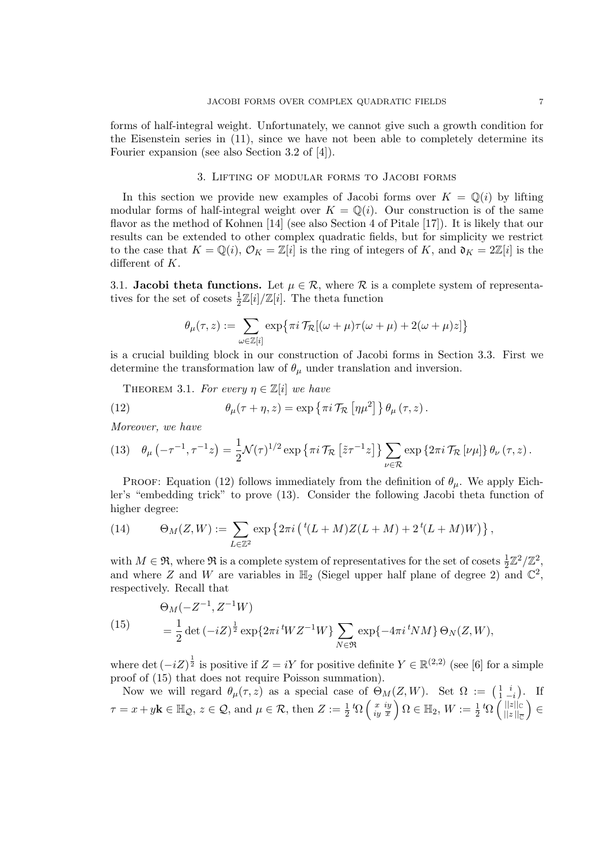forms of half-integral weight. Unfortunately, we cannot give such a growth condition for the Eisenstein series in (11), since we have not been able to completely determine its Fourier expansion (see also Section 3.2 of [4]).

### 3. Lifting of modular forms to Jacobi forms

In this section we provide new examples of Jacobi forms over  $K = \mathbb{Q}(i)$  by lifting modular forms of half-integral weight over  $K = \mathbb{Q}(i)$ . Our construction is of the same flavor as the method of Kohnen [14] (see also Section 4 of Pitale [17]). It is likely that our results can be extended to other complex quadratic fields, but for simplicity we restrict to the case that  $K = \mathbb{Q}(i)$ ,  $\mathcal{O}_K = \mathbb{Z}[i]$  is the ring of integers of K, and  $\mathfrak{d}_K = 2\mathbb{Z}[i]$  is the different of K.

3.1. Jacobi theta functions. Let  $\mu \in \mathcal{R}$ , where  $\mathcal R$  is a complete system of representatives for the set of cosets  $\frac{1}{2}\mathbb{Z}[i]/\mathbb{Z}[i]$ . The theta function

$$
\theta_\mu(\tau,z) := \sum_{\omega \in \mathbb{Z}[i]} \exp\bigl\{\pi i\, \mathcal{T}_{\mathcal{R}}[(\omega + \mu)\tau(\omega + \mu) + 2(\omega + \mu)z]\bigr\}
$$

is a crucial building block in our construction of Jacobi forms in Section 3.3. First we determine the transformation law of  $\theta_{\mu}$  under translation and inversion.

THEOREM 3.1. For every  $\eta \in \mathbb{Z}[i]$  we have

(12) 
$$
\theta_{\mu}(\tau + \eta, z) = \exp \left\{ \pi i \mathcal{T}_{\mathcal{R}} \left[ \eta \mu^2 \right] \right\} \theta_{\mu}(\tau, z).
$$

Moreover, we have

$$
(13) \quad \theta_{\mu}\left(-\tau^{-1},\tau^{-1}z\right) = \frac{1}{2}\mathcal{N}(\tau)^{1/2} \exp\left\{\pi i \mathcal{T}_{\mathcal{R}}\left[\tilde{z}\tau^{-1}z\right]\right\} \sum_{\nu \in \mathcal{R}} \exp\left\{2\pi i \mathcal{T}_{\mathcal{R}}\left[\nu\mu\right]\right\} \theta_{\nu}\left(\tau,z\right).
$$

PROOF: Equation (12) follows immediately from the definition of  $\theta_{\mu}$ . We apply Eichler's "embedding trick" to prove (13). Consider the following Jacobi theta function of higher degree:

(14) 
$$
\Theta_M(Z, W) := \sum_{L \in \mathbb{Z}^2} \exp \left\{ 2\pi i \left( {}^t(L + M)Z(L + M) + 2 {}^t(L + M)W \right) \right\},
$$

with  $M \in \mathfrak{R}$ , where  $\mathfrak{R}$  is a complete system of representatives for the set of cosets  $\frac{1}{2}\mathbb{Z}^2/\mathbb{Z}^2$ , and where Z and W are variables in  $\mathbb{H}_2$  (Siegel upper half plane of degree 2) and  $\mathbb{C}^2$ , respectively. Recall that

(15) 
$$
\Theta_M(-Z^{-1}, Z^{-1}W) = \frac{1}{2} \det(-iZ)^{\frac{1}{2}} \exp\{2\pi i^t W Z^{-1}W\} \sum_{N \in \mathfrak{R}} \exp\{-4\pi i^t NM\} \Theta_N(Z, W),
$$

where det  $(-iZ)^{\frac{1}{2}}$  is positive if  $Z = iY$  for positive definite  $Y \in \mathbb{R}^{(2,2)}$  (see [6] for a simple proof of (15) that does not require Poisson summation).

Now we will regard  $\theta_{\mu}(\tau,z)$  as a special case of  $\Theta_M(Z,W)$ . Set  $\Omega := \begin{pmatrix} 1 & i \\ 1 & -i \end{pmatrix}$ . If  $\tau = x + y\mathbf{k} \in \mathbb{H}_{\mathcal{Q}}$ ,  $z \in \mathcal{Q}$ , and  $\mu \in \mathcal{R}$ , then  $Z := \frac{1}{2} \, {}^t\Omega \left( \begin{array}{c} x \\ iy \end{array} \right)$  $\left(\begin{smallmatrix} x & iy\ iy & \overline{x} \end{smallmatrix}\right)\Omega \in \mathbb{H}_2, W := \frac{1}{2} \mathit{t} \Omega \left(\begin{smallmatrix} ||z|| \ c & ||z|| \end{smallmatrix}\right)$  $||z||_{\overline{\mathbb C}}$ ∈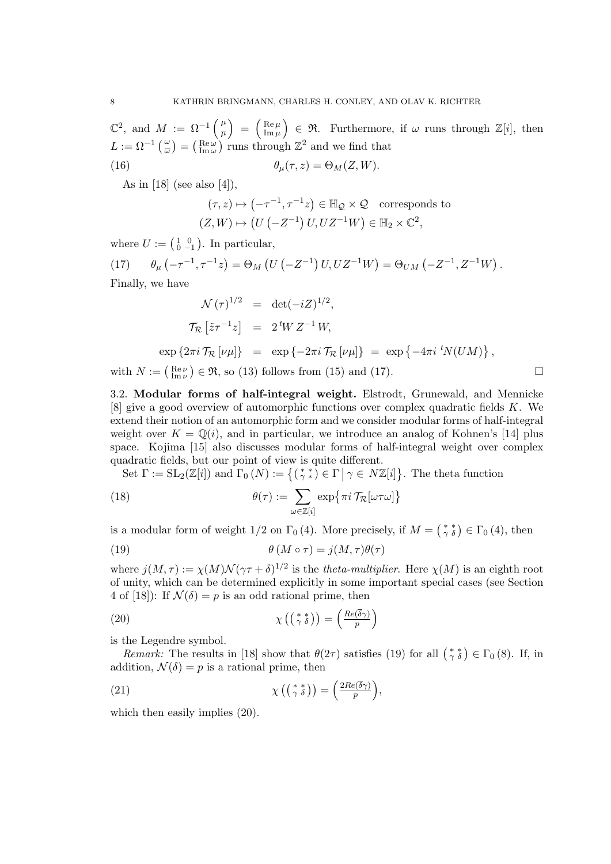$\mathbb{C}^2$ , and  $M := \Omega^{-1} \left( \frac{\mu}{\overline{n}} \right)$  $\left(\frac{\mu}{\mu}\right)$  =  $\left(\frac{\mathrm{Re}\,\mu}{\mathrm{Im}\,\mu}\right)$  $\begin{bmatrix} \text{Re}\,\mu \\ \text{Im}\,\mu \end{bmatrix} \in \mathfrak{R}$ . Furthermore, if  $\omega$  runs through  $\mathbb{Z}[i]$ , then  $L := \Omega^{-1}\left(\frac{\omega}{\omega}\right) = \left(\frac{\text{Re}\,\omega}{\text{Im}\,\omega}\right)$  runs through  $\mathbb{Z}^2$  and we find that

(16) 
$$
\theta_{\mu}(\tau,z) = \Theta_M(Z,W).
$$

As in  $[18]$  (see also  $[4]$ ),

$$
(\tau, z) \mapsto (-\tau^{-1}, \tau^{-1}z) \in \mathbb{H}_{\mathcal{Q}} \times \mathcal{Q} \quad \text{corresponds to}
$$
  

$$
(Z, W) \mapsto (U(-Z^{-1}) U, UZ^{-1}W) \in \mathbb{H}_{2} \times \mathbb{C}^{2},
$$

where  $U := \left(\begin{smallmatrix} 1 & 0 \\ 0 & -1 \end{smallmatrix}\right)$ . In particular,

 $(17)$  $(-\tau^{-1}, \tau^{-1}z) = \Theta_M(U(-Z^{-1})U, UZ^{-1}W) = \Theta_{UM}(-Z^{-1}, Z^{-1}W).$ Finally, we have

$$
\mathcal{N}(\tau)^{1/2} = \det(-iZ)^{1/2},
$$
  
\n
$$
\mathcal{T}_{\mathcal{R}}\left[\tilde{z}\tau^{-1}z\right] = 2^t W Z^{-1} W,
$$
  
\n
$$
\exp\left\{2\pi i \mathcal{T}_{\mathcal{R}}\left[\nu\mu\right]\right\} = \exp\left\{-2\pi i \mathcal{T}_{\mathcal{R}}\left[\nu\mu\right]\right\} = \exp\left\{-4\pi i \, {}^t N(U M)\right\},
$$

with  $N := \begin{pmatrix} \text{Re}\,\nu \\ \text{Im}\,\nu \end{pmatrix} \in \mathfrak{R}$ , so (13) follows from (15) and (17).

3.2. Modular forms of half-integral weight. Elstrodt, Grunewald, and Mennicke [8] give a good overview of automorphic functions over complex quadratic fields K. We extend their notion of an automorphic form and we consider modular forms of half-integral weight over  $K = \mathbb{Q}(i)$ , and in particular, we introduce an analog of Kohnen's [14] plus space. Kojima [15] also discusses modular forms of half-integral weight over complex quadratic fields, but our point of view is quite different.

Set  $\Gamma := SL_2(\mathbb{Z}[i])$  and  $\Gamma_0(N) := \{ (\gamma * \tilde{\ } ) \in \Gamma \mid \gamma \in N\mathbb{Z}[i] \}.$  The theta function

(18) 
$$
\theta(\tau) := \sum_{\omega \in \mathbb{Z}[i]} \exp\{\pi i \mathcal{T}_{\mathcal{R}}[\omega \tau \omega]\}
$$

is a modular form of weight 1/2 on  $\Gamma_0(4)$ . More precisely, if  $M = \begin{pmatrix} * & * \\ \gamma & \delta \end{pmatrix} \in \Gamma_0(4)$ , then (19)  $\theta(M \circ \tau) = i(M, \tau)\theta(\tau)$ 

where  $j(M,\tau) := \chi(M) \mathcal{N}(\gamma \tau + \delta)^{1/2}$  is the theta-multiplier. Here  $\chi(M)$  is an eighth root of unity, which can be determined explicitly in some important special cases (see Section 4 of [18]): If  $\mathcal{N}(\delta) = p$  is an odd rational prime, then

(20) 
$$
\chi\left(\left(\begin{smallmatrix} * & * \\ \gamma & \delta \end{smallmatrix}\right)\right) = \left(\frac{Re(\overline{\delta}\gamma)}{p}\right)
$$

is the Legendre symbol.

Remark: The results in [18] show that  $\theta(2\tau)$  satisfies (19) for all  $\binom{**}{\gamma \delta} \in \Gamma_0(8)$ . If, in addition,  $\mathcal{N}(\delta) = p$  is a rational prime, then

(21) 
$$
\chi\left(\left(\begin{smallmatrix} * & * \\ \gamma & \delta \end{smallmatrix}\right)\right) = \left(\frac{2Re(\overline{\delta}\gamma)}{p}\right),
$$

which then easily implies  $(20)$ .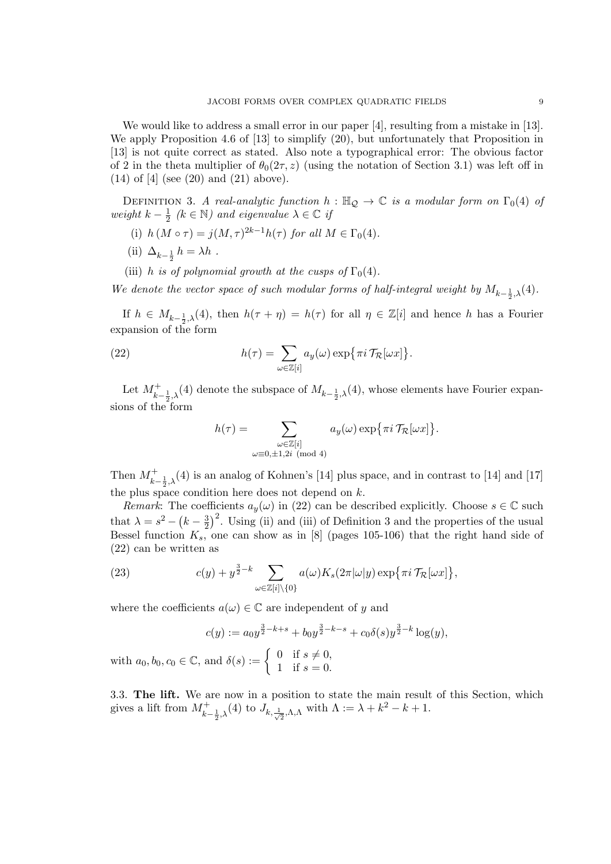We would like to address a small error in our paper [4], resulting from a mistake in [13]. We apply Proposition 4.6 of [13] to simplify (20), but unfortunately that Proposition in [13] is not quite correct as stated. Also note a typographical error: The obvious factor of 2 in the theta multiplier of  $\theta_0(2\tau, z)$  (using the notation of Section 3.1) was left off in (14) of [4] (see (20) and (21) above).

DEFINITION 3. A real-analytic function  $h : \mathbb{H}_{\mathcal{Q}} \to \mathbb{C}$  is a modular form on  $\Gamma_0(4)$  of weight  $k-\frac{1}{2}$  $\frac{1}{2}$  ( $k \in \mathbb{N}$ ) and eigenvalue  $\lambda \in \mathbb{C}$  if

- (i)  $h(M \circ \tau) = j(M, \tau)^{2k-1} h(\tau)$  for all  $M \in \Gamma_0(4)$ .
- (ii)  $\Delta_{k-\frac{1}{2}} h = \lambda h$ .

with  $a_0, b_0$ ,

(iii) h is of polynomial growth at the cusps of  $\Gamma_0(4)$ .

We denote the vector space of such modular forms of half-integral weight by  $M_{k-\frac{1}{2},\lambda}(4)$ .

If  $h \in M_{k-\frac{1}{2},\lambda}(4)$ , then  $h(\tau + \eta) = h(\tau)$  for all  $\eta \in \mathbb{Z}[i]$  and hence h has a Fourier expansion of the form

(22) 
$$
h(\tau) = \sum_{\omega \in \mathbb{Z}[i]} a_y(\omega) \exp{\{\pi i \mathcal{T}_{\mathcal{R}}[\omega x] \}}.
$$

Let  $M^+_{k-\frac{1}{2},\lambda}(4)$  denote the subspace of  $M_{k-\frac{1}{2},\lambda}(4)$ , whose elements have Fourier expansions of the form

$$
h(\tau) = \sum_{\substack{\omega \in \mathbb{Z}[i] \\ \omega \equiv 0, \pm 1, 2i \pmod{4}}} a_y(\omega) \exp\{\pi i \mathcal{T}_{\mathcal{R}}[\omega x]\}.
$$

Then  $M^+_{k-\frac{1}{2},\lambda}(4)$  is an analog of Kohnen's [14] plus space, and in contrast to [14] and [17] the plus space condition here does not depend on  $k$ .

Remark: The coefficients  $a_y(\omega)$  in (22) can be described explicitly. Choose  $s \in \mathbb{C}$  such that  $\lambda = s^2 - (k - \frac{3}{2})$  $(\frac{3}{2})^2$ . Using (ii) and (iii) of Definition 3 and the properties of the usual Bessel function  $K_s$ , one can show as in [8] (pages 105-106) that the right hand side of (22) can be written as

(23) 
$$
c(y) + y^{\frac{3}{2} - k} \sum_{\omega \in \mathbb{Z}[i] \setminus \{0\}} a(\omega) K_s(2\pi |\omega|y) \exp{\pi i \mathcal{T}_{\mathcal{R}}[\omega x]} ,
$$

where the coefficients  $a(\omega) \in \mathbb{C}$  are independent of y and

$$
c(y) := a_0 y^{\frac{3}{2} - k + s} + b_0 y^{\frac{3}{2} - k - s} + c_0 \delta(s) y^{\frac{3}{2} - k} \log(y),
$$
  

$$
c_0 \in \mathbb{C}, \text{ and } \delta(s) := \begin{cases} 0 & \text{if } s \neq 0, \\ 1 & \text{if } s = 0. \end{cases}
$$

3.3. The lift. We are now in a position to state the main result of this Section, which gives a lift from  $M^+_{k-\frac{1}{2},\lambda}(4)$  to  $J_{k,\frac{1}{\sqrt{2}},\Lambda,\Lambda}$  with  $\Lambda := \lambda + k^2 - k + 1$ .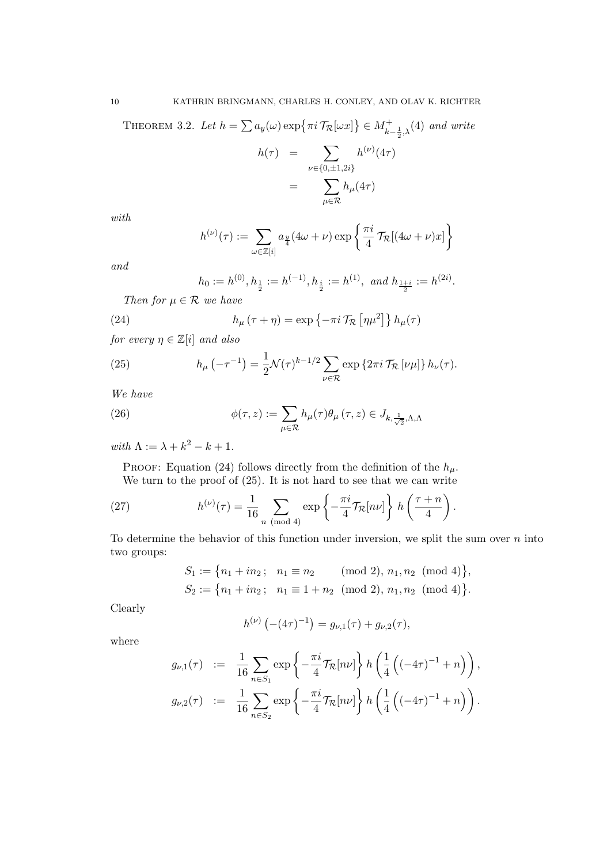THEOREM 3.2. Let  $h = \sum a_y(\omega) \exp \{\pi i \mathcal{T}_{\mathcal{R}}[\omega x]\} \in M_{k-\frac{1}{2},\lambda}^+(4)$  and write

$$
h(\tau) = \sum_{\nu \in \{0, \pm 1, 2i\}} h^{(\nu)}(4\tau)
$$

$$
= \sum_{\mu \in \mathcal{R}} h_{\mu}(4\tau)
$$

with

$$
h^{(\nu)}(\tau) := \sum_{\omega \in \mathbb{Z}[i]} a_{\frac{y}{4}} (4\omega + \nu) \exp\left\{ \frac{\pi i}{4} \mathcal{T}_{\mathcal{R}}[(4\omega + \nu)x] \right\}
$$

and

$$
h_0 := h^{(0)}, h_{\frac{1}{2}} := h^{(-1)}, h_{\frac{i}{2}} := h^{(1)}, \text{ and } h_{\frac{1+i}{2}} := h^{(2i)}.
$$

Then for  $\mu \in \mathcal{R}$  we have

(24) 
$$
h_{\mu}(\tau + \eta) = \exp \left\{-\pi i \mathcal{T}_{\mathcal{R}} \left[\eta \mu^2\right]\right\} h_{\mu}(\tau)
$$

for every  $\eta \in \mathbb{Z}[i]$  and also

(25) 
$$
h_{\mu}\left(-\tau^{-1}\right) = \frac{1}{2}\mathcal{N}(\tau)^{k-1/2}\sum_{\nu\in\mathcal{R}}\exp\left\{2\pi i\,\mathcal{T}_{\mathcal{R}}\left[\nu\mu\right]\right\}h_{\nu}(\tau).
$$

We have

(26) 
$$
\phi(\tau, z) := \sum_{\mu \in \mathcal{R}} h_{\mu}(\tau) \theta_{\mu}(\tau, z) \in J_{k, \frac{1}{\sqrt{2}}, \Lambda, \Lambda}
$$

with  $\Lambda := \lambda + k^2 - k + 1$ .

PROOF: Equation (24) follows directly from the definition of the  $h_{\mu}$ . We turn to the proof of  $(25)$ . It is not hard to see that we can write

(27) 
$$
h^{(\nu)}(\tau) = \frac{1}{16} \sum_{n \pmod{4}} \exp\left\{-\frac{\pi i}{4} \mathcal{T}_{\mathcal{R}}[n\nu]\right\} h\left(\frac{\tau + n}{4}\right).
$$

To determine the behavior of this function under inversion, we split the sum over  $n$  into two groups:

$$
S_1 := \{ n_1 + in_2; \quad n_1 \equiv n_2 \pmod{2}, n_1, n_2 \pmod{4} \},
$$
  

$$
S_2 := \{ n_1 + in_2; \quad n_1 \equiv 1 + n_2 \pmod{2}, n_1, n_2 \pmod{4} \}.
$$

Clearly

$$
h^{(\nu)}\left(-(4\tau)^{-1}\right) = g_{\nu,1}(\tau) + g_{\nu,2}(\tau),
$$

where

$$
g_{\nu,1}(\tau) := \frac{1}{16} \sum_{n \in S_1} \exp \left\{-\frac{\pi i}{4} \mathcal{T}_{\mathcal{R}}[n\nu] \right\} h \left(\frac{1}{4} \left( (-4\tau)^{-1} + n \right) \right),
$$
  

$$
g_{\nu,2}(\tau) := \frac{1}{16} \sum_{n \in S_2} \exp \left\{-\frac{\pi i}{4} \mathcal{T}_{\mathcal{R}}[n\nu] \right\} h \left(\frac{1}{4} \left( (-4\tau)^{-1} + n \right) \right).
$$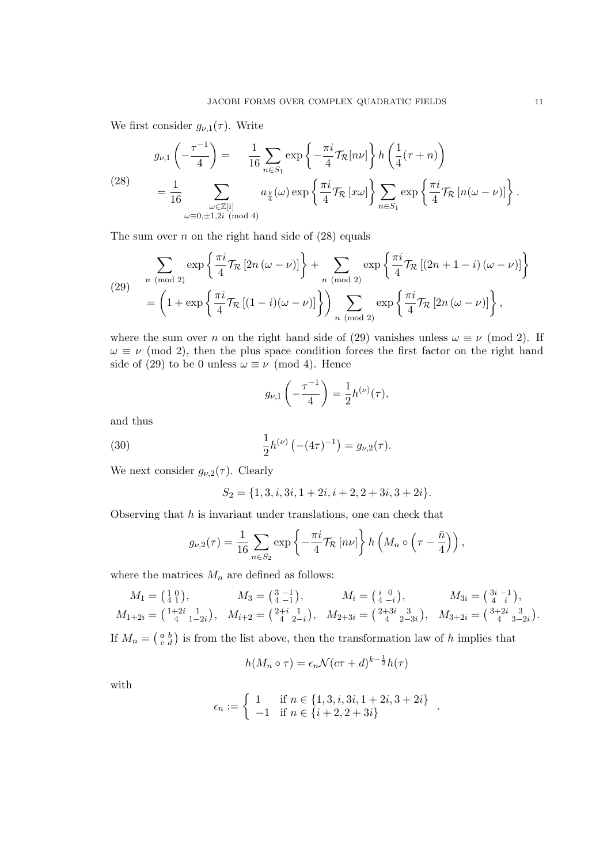We first consider  $g_{\nu,1}(\tau)$ . Write

(28)  

$$
g_{\nu,1}\left(-\frac{\tau^{-1}}{4}\right) = \frac{1}{16} \sum_{n \in S_1} \exp\left\{-\frac{\pi i}{4} \mathcal{T}_{\mathcal{R}}[n\nu]\right\} h\left(\frac{1}{4}(\tau+n)\right)
$$

$$
= \frac{1}{16} \sum_{\substack{\omega \in \mathbb{Z}[i] \\ \omega \equiv 0, \pm 1, 2i \pmod{4}}} a_{\frac{y}{4}}(\omega) \exp\left\{\frac{\pi i}{4} \mathcal{T}_{\mathcal{R}}[x\omega]\right\} \sum_{n \in S_1} \exp\left\{\frac{\pi i}{4} \mathcal{T}_{\mathcal{R}}[n(\omega-\nu)]\right\}.
$$

The sum over  $n$  on the right hand side of  $(28)$  equals

(29) 
$$
\sum_{n \pmod{2}} \exp\left\{\frac{\pi i}{4} \mathcal{T}_{\mathcal{R}} \left[2n \left(\omega - \nu\right)\right]\right\} + \sum_{n \pmod{2}} \exp\left\{\frac{\pi i}{4} \mathcal{T}_{\mathcal{R}} \left[(2n + 1 - i) \left(\omega - \nu\right)\right]\right\}
$$

$$
= \left(1 + \exp\left\{\frac{\pi i}{4} \mathcal{T}_{\mathcal{R}} \left[(1 - i) \left(\omega - \nu\right)\right]\right\}\right) \sum_{n \pmod{2}} \exp\left\{\frac{\pi i}{4} \mathcal{T}_{\mathcal{R}} \left[2n \left(\omega - \nu\right)\right]\right\},
$$

where the sum over n on the right hand side of (29) vanishes unless  $\omega \equiv \nu \pmod{2}$ . If  $\omega \equiv \nu \pmod{2}$ , then the plus space condition forces the first factor on the right hand side of (29) to be 0 unless  $\omega \equiv \nu \pmod{4}$ . Hence

$$
g_{\nu,1}\left(-\frac{\tau^{-1}}{4}\right) = \frac{1}{2}h^{(\nu)}(\tau),
$$

and thus

(30) 
$$
\frac{1}{2}h^{(\nu)}\left(-(4\tau)^{-1}\right) = g_{\nu,2}(\tau).
$$

We next consider  $g_{\nu,2}(\tau)$ . Clearly

$$
S_2 = \{1, 3, i, 3i, 1 + 2i, i + 2, 2 + 3i, 3 + 2i\}.
$$

Observing that  $h$  is invariant under translations, one can check that

$$
g_{\nu,2}(\tau) = \frac{1}{16} \sum_{n \in S_2} \exp \left\{-\frac{\pi i}{4} \mathcal{T}_{\mathcal{R}}\left[n\nu\right]\right\} h\left(M_n \circ \left(\tau - \frac{\bar{n}}{4}\right)\right),\,
$$

where the matrices  $M_n$  are defined as follows:

$$
M_1 = \begin{pmatrix} 1 & 0 \\ 4 & 1 \end{pmatrix}, \qquad M_3 = \begin{pmatrix} 3 & -1 \\ 4 & -1 \end{pmatrix}, \qquad M_i = \begin{pmatrix} i & 0 \\ 4 & -i \end{pmatrix}, \qquad M_{3i} = \begin{pmatrix} 3i & -1 \\ 4 & i \end{pmatrix}, M_{1+2i} = \begin{pmatrix} 1+2i & 1 \\ 4 & 1-2i \end{pmatrix}, \qquad M_{i+2} = \begin{pmatrix} 2+i & 1 \\ 4 & 2-i \end{pmatrix}, \qquad M_{2+3i} = \begin{pmatrix} 2+3i & 3 \\ 4 & 2-3i \end{pmatrix}, \qquad M_{3+2i} = \begin{pmatrix} 3+2i & 3 \\ 4 & 3-2i \end{pmatrix}.
$$

If  $M_n = \begin{pmatrix} a & b \\ c & d \end{pmatrix}$  is from the list above, then the transformation law of h implies that

$$
h(M_n \circ \tau) = \epsilon_n \mathcal{N}(c\tau + d)^{k - \frac{1}{2}} h(\tau)
$$

with

$$
\epsilon_n := \begin{cases} 1 & \text{if } n \in \{1, 3, i, 3i, 1+2i, 3+2i\} \\ -1 & \text{if } n \in \{i+2, 2+3i\} \end{cases}
$$

.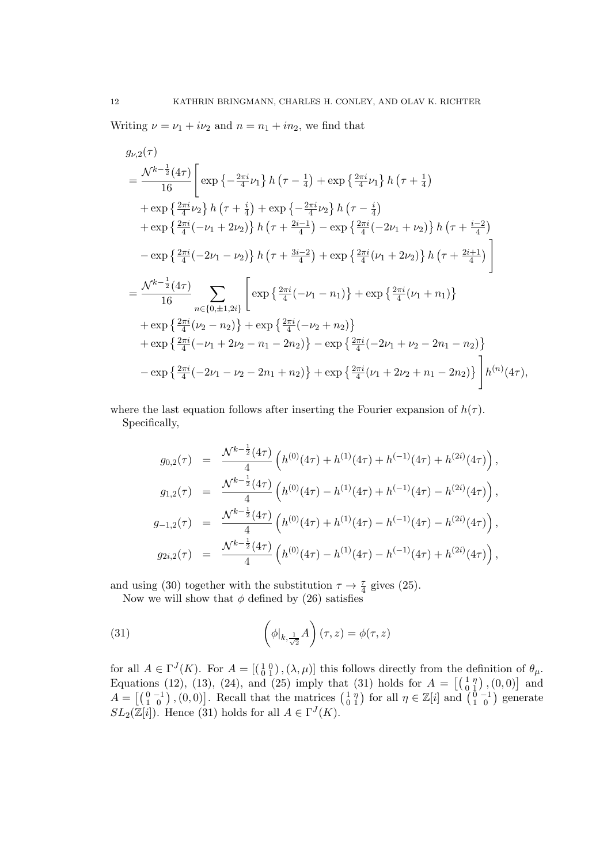Writing  $\nu = \nu_1 + i\nu_2$  and  $n = n_1 + i n_2$ , we find that

$$
g_{\nu,2}(\tau)
$$
\n
$$
= \frac{\mathcal{N}^{k-\frac{1}{2}}(4\tau)}{16} \left[ \exp\left\{-\frac{2\pi i}{4}\nu_1\right\} h\left(\tau - \frac{1}{4}\right) + \exp\left\{\frac{2\pi i}{4}\nu_1\right\} h\left(\tau + \frac{1}{4}\right) + \exp\left\{\frac{2\pi i}{4}\nu_2\right\} h\left(\tau - \frac{i}{4}\right) + \exp\left\{\frac{2\pi i}{4}(\nu_2)\right\} h\left(\tau - \frac{i}{4}\right) + \exp\left\{\frac{2\pi i}{4}(-\nu_1 + 2\nu_2)\right\} h\left(\tau + \frac{2i-1}{4}\right) - \exp\left\{\frac{2\pi i}{4}(-2\nu_1 + \nu_2)\right\} h\left(\tau + \frac{i-2}{4}\right) - \exp\left\{\frac{2\pi i}{4}(-2\nu_1 - \nu_2)\right\} h\left(\tau + \frac{3i-2}{4}\right) + \exp\left\{\frac{2\pi i}{4}(\nu_1 + 2\nu_2)\right\} h\left(\tau + \frac{2i+1}{4}\right) \right]
$$
\n
$$
= \frac{\mathcal{N}^{k-\frac{1}{2}}(4\tau)}{16} \sum_{n \in \{0,\pm 1,2i\}} \left[ \exp\left\{\frac{2\pi i}{4}(-\nu_1 - n_1)\right\} + \exp\left\{\frac{2\pi i}{4}(\nu_1 + n_1)\right\} + \exp\left\{\frac{2\pi i}{4}(\nu_2 - n_2)\right\} + \exp\left\{\frac{2\pi i}{4}(-\nu_1 + 2\nu_2 - n_1 - 2n_2)\right\} - \exp\left\{\frac{2\pi i}{4}(-2\nu_1 + \nu_2 - 2n_1 - n_2)\right\} - \exp\left\{\frac{2\pi i}{4}(-2\nu_1 - \nu_2 - 2n_1 + n_2)\right\} + \exp\left\{\frac{2\pi i}{4}(\nu_1 + 2\nu_2 + n_1 - 2n_2)\right\} \right] h^{(n)}(4\tau),
$$

where the last equation follows after inserting the Fourier expansion of  $h(\tau)$ . Specifically,

$$
g_{0,2}(\tau) = \frac{\mathcal{N}^{k-\frac{1}{2}}(4\tau)}{4} \left( h^{(0)}(4\tau) + h^{(1)}(4\tau) + h^{(-1)}(4\tau) + h^{(2i)}(4\tau) \right),
$$
  
\n
$$
g_{1,2}(\tau) = \frac{\mathcal{N}^{k-\frac{1}{2}}(4\tau)}{4} \left( h^{(0)}(4\tau) - h^{(1)}(4\tau) + h^{(-1)}(4\tau) - h^{(2i)}(4\tau) \right),
$$
  
\n
$$
g_{-1,2}(\tau) = \frac{\mathcal{N}^{k-\frac{1}{2}}(4\tau)}{4} \left( h^{(0)}(4\tau) + h^{(1)}(4\tau) - h^{(-1)}(4\tau) - h^{(2i)}(4\tau) \right),
$$
  
\n
$$
g_{2i,2}(\tau) = \frac{\mathcal{N}^{k-\frac{1}{2}}(4\tau)}{4} \left( h^{(0)}(4\tau) - h^{(1)}(4\tau) - h^{(-1)}(4\tau) + h^{(2i)}(4\tau) \right),
$$

and using (30) together with the substitution  $\tau \to \frac{\tau}{4}$  gives (25).

Now we will show that  $\phi$  defined by (26) satisfies

(31) 
$$
\left(\phi|_{k,\frac{1}{\sqrt{2}}}A\right)(\tau,z)=\phi(\tau,z)
$$

for all  $A \in \Gamma^{J}(K)$ . For  $A = \left[\begin{pmatrix} 1 & 0 \\ 0 & 1 \end{pmatrix}, (\lambda, \mu)\right]$  this follows directly from the definition of  $\theta_{\mu}$ . Equations (12), (13), (24), and (25) imply that (31) holds for  $A = \begin{bmatrix} 1 & \eta \\ 0 & 1 \end{bmatrix}$ , (0, 0) and  $A = \left[ \begin{smallmatrix} 0 & -1 \\ 1 & 0 \end{smallmatrix} \right], (0, 0) \right]$ . Recall that the matrices  $\begin{smallmatrix} 1 & \eta \\ 0 & 1 \end{smallmatrix}$  $\begin{bmatrix} 1 & \eta \\ 0 & 1 \end{bmatrix}$  for all  $\eta \in \mathbb{Z}[i]$  and  $\begin{bmatrix} 0 & -1 \\ 1 & 0 \end{bmatrix}$  generate  $SL_2(\mathbb{Z}[i])$ . Hence (31) holds for all  $A \in \Gamma^J(K)$ .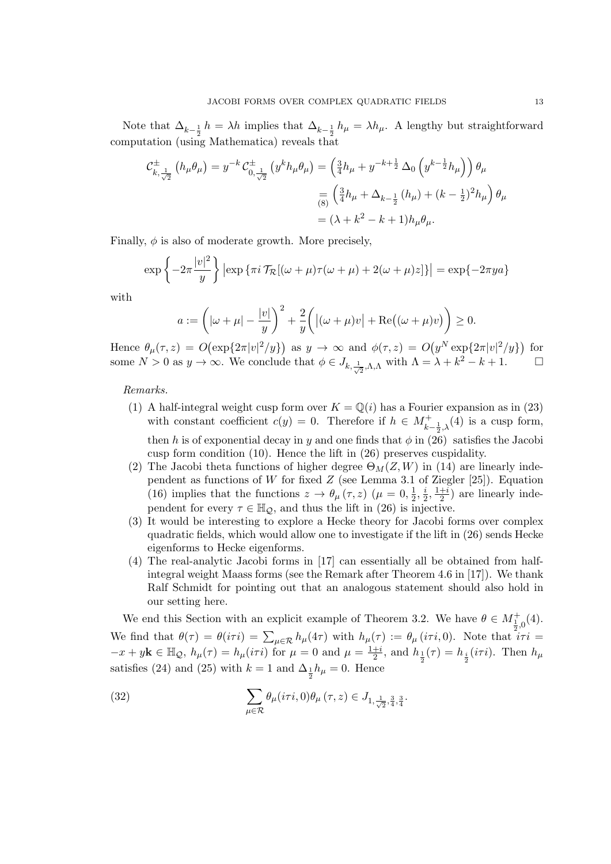Note that  $\Delta_{k-\frac{1}{2}}h = \lambda h$  implies that  $\Delta_{k-\frac{1}{2}}h_{\mu} = \lambda h_{\mu}$ . A lengthy but straightforward computation (using Mathematica) reveals that

$$
\mathcal{C}_{k,\frac{1}{\sqrt{2}}}^{\pm} (h_{\mu}\theta_{\mu}) = y^{-k} \mathcal{C}_{0,\frac{1}{\sqrt{2}}}^{\pm} (y^{k}h_{\mu}\theta_{\mu}) = \left(\frac{3}{4}h_{\mu} + y^{-k+\frac{1}{2}}\Delta_{0} (y^{k-\frac{1}{2}}h_{\mu})\right)\theta_{\mu}
$$

$$
= \left(\frac{3}{4}h_{\mu} + \Delta_{k-\frac{1}{2}} (h_{\mu}) + (k-\frac{1}{2})^{2}h_{\mu}\right)\theta_{\mu}
$$

$$
= (\lambda + k^{2} - k + 1)h_{\mu}\theta_{\mu}.
$$

Finally,  $\phi$  is also of moderate growth. More precisely,

$$
\exp\left\{-2\pi\frac{|v|^2}{y}\right\} \left|\exp\left\{\pi i \mathcal{T}_{\mathcal{R}}[(\omega+\mu)\tau(\omega+\mu)+2(\omega+\mu)z]\right\}\right| = \exp\{-2\pi ya\}
$$

with

$$
a := \left( |\omega + \mu| - \frac{|v|}{y} \right)^2 + \frac{2}{y} \left( |(\omega + \mu)v| + \text{Re}((\omega + \mu)v) \right) \ge 0.
$$

Hence  $\theta_{\mu}(\tau, z) = O(\exp\{2\pi |v|^2/y\})$  as  $y \to \infty$  and  $\phi(\tau, z) = O(y^N \exp\{2\pi |v|^2/y\})$  for some  $N > 0$  as  $y \to \infty$ . We conclude that  $\phi \in J_{k, \frac{1}{\sqrt{2}}, \Lambda, \Lambda}$  with  $\Lambda = \lambda + k^2 - k + 1$ .

Remarks.

- (1) A half-integral weight cusp form over  $K = \mathbb{Q}(i)$  has a Fourier expansion as in (23) with constant coefficient  $c(y) = 0$ . Therefore if  $h \in M_{k-\frac{1}{2},\lambda}^+(4)$  is a cusp form, then h is of exponential decay in y and one finds that  $\phi$  in (26) satisfies the Jacobi cusp form condition (10). Hence the lift in (26) preserves cuspidality.
- (2) The Jacobi theta functions of higher degree  $\Theta_M(Z, W)$  in (14) are linearly independent as functions of W for fixed  $Z$  (see Lemma 3.1 of Ziegler [25]). Equation (16) implies that the functions  $z \to \theta_\mu(\tau, z)$  ( $\mu = 0, \frac{1}{2}$  $\frac{1}{2}, \frac{i}{2}$  $\frac{i}{2}, \frac{1+i}{2}$  $\frac{+i}{2}$ ) are linearly independent for every  $\tau \in \mathbb{H}_{\mathcal{Q}}$ , and thus the lift in (26) is injective.
- (3) It would be interesting to explore a Hecke theory for Jacobi forms over complex quadratic fields, which would allow one to investigate if the lift in (26) sends Hecke eigenforms to Hecke eigenforms.
- (4) The real-analytic Jacobi forms in [17] can essentially all be obtained from halfintegral weight Maass forms (see the Remark after Theorem 4.6 in [17]). We thank Ralf Schmidt for pointing out that an analogous statement should also hold in our setting here.

We end this Section with an explicit example of Theorem 3.2. We have  $\theta \in M^+_{\frac{1}{2},0}(4)$ . We find that  $\theta(\tau) = \theta(i\tau i) = \sum_{\mu \in \mathcal{R}} h_{\mu}(4\tau)$  with  $h_{\mu}(\tau) := \theta_{\mu} (i\tau i, 0)$ . Note that  $i\tau i =$  $-x + y\mathbf{k} \in \mathbb{H}_{\mathcal{Q}}, h_{\mu}(\tau) = h_{\mu}(i\tau i)$  for  $\mu = 0$  and  $\mu = \frac{1+i}{2}$  $\frac{+i}{2}$ , and  $h_{\frac{1}{2}}(\tau) = h_{\frac{i}{2}}(i\tau i)$ . Then  $h_{\mu}$ satisfies (24) and (25) with  $k = 1$  and  $\Delta_{\frac{1}{2}} h_{\mu} = 0$ . Hence

(32) 
$$
\sum_{\mu \in \mathcal{R}} \theta_{\mu}(i\tau i, 0) \theta_{\mu}(\tau, z) \in J_{1, \frac{1}{\sqrt{2}}, \frac{3}{4}, \frac{3}{4}}.
$$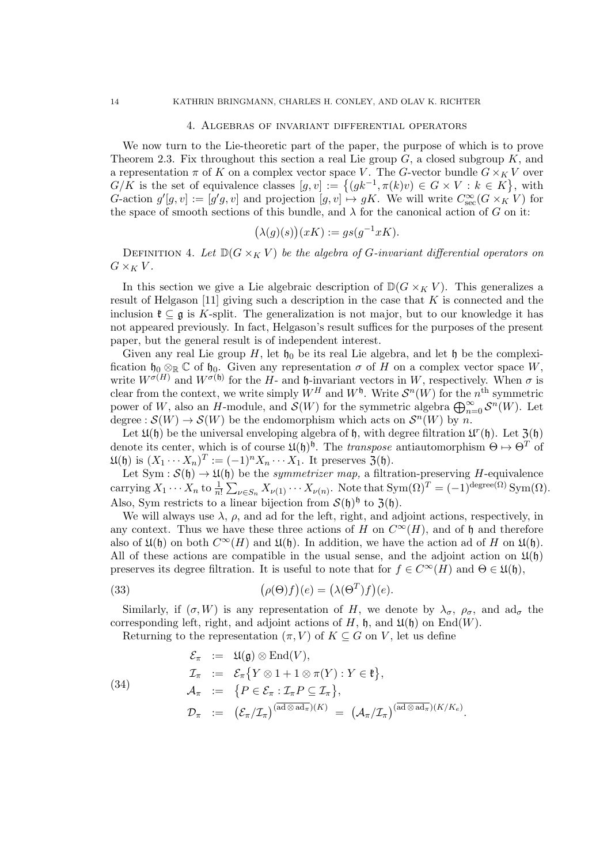#### 4. Algebras of invariant differential operators

We now turn to the Lie-theoretic part of the paper, the purpose of which is to prove Theorem 2.3. Fix throughout this section a real Lie group  $G$ , a closed subgroup  $K$ , and a representation  $\pi$  of K on a complex vector space V. The G-vector bundle  $G \times_K V$  over  $G/K$  is the set of equivalence classes  $[g, v] := \{(gk^{-1}, \pi(k)v) \in G \times V : k \in K\}$ , with G-action  $g'[g, v] := [g'g, v]$  and projection  $[g, v] \mapsto gK$ . We will write  $C_{\text{sec}}^{\infty}(G \times_K V)$  for the space of smooth sections of this bundle, and  $\lambda$  for the canonical action of G on it:

$$
(\lambda(g)(s))(xK) := gs(g^{-1}xK).
$$

DEFINITION 4. Let  $\mathbb{D}(G \times_K V)$  be the algebra of G-invariant differential operators on  $G \times_K V$ .

In this section we give a Lie algebraic description of  $\mathbb{D}(G \times_K V)$ . This generalizes a result of Helgason [11] giving such a description in the case that  $K$  is connected and the inclusion  $\mathfrak{k} \subseteq \mathfrak{g}$  is K-split. The generalization is not major, but to our knowledge it has not appeared previously. In fact, Helgason's result suffices for the purposes of the present paper, but the general result is of independent interest.

Given any real Lie group H, let  $\mathfrak{h}_0$  be its real Lie algebra, and let h be the complexification  $\mathfrak{h}_0 \otimes_{\mathbb{R}} \mathbb{C}$  of  $\mathfrak{h}_0$ . Given any representation  $\sigma$  of H on a complex vector space W, write  $W^{\sigma(H)}$  and  $W^{\sigma(\mathfrak{h})}$  for the H- and  $\mathfrak{h}$ -invariant vectors in W, respectively. When  $\sigma$  is clear from the context, we write simply  $W^H$  and  $W^{\mathfrak{h}}$ . Write  $\mathcal{S}^n(W)$  for the  $n^{\text{th}}$  symmetric power of W, also an H-module, and  $\mathcal{S}(W)$  for the symmetric algebra  $\bigoplus_{n=0}^{\infty} \mathcal{S}^n(W)$ . Let degree :  $\mathcal{S}(W) \to \mathcal{S}(W)$  be the endomorphism which acts on  $\mathcal{S}^n(W)$  by n.

Let  $\mathfrak{U}(\mathfrak{h})$  be the universal enveloping algebra of  $\mathfrak{h}$ , with degree filtration  $\mathfrak{U}^r(\mathfrak{h})$ . Let  $\mathfrak{Z}(\mathfrak{h})$ denote its center, which is of course  $\mathfrak{U}(\mathfrak{h})^{\mathfrak{h}}$ . The *transpose* antiautomorphism  $\Theta \mapsto \Theta^T$  of  $\mathfrak{U}(\mathfrak{h})$  is  $(X_1 \cdots X_n)^T := (-1)^n X_n \cdots X_1$ . It preserves  $\mathfrak{Z}(\mathfrak{h})$ .

Let Sym :  $\mathcal{S}(\mathfrak{h}) \to \mathfrak{U}(\mathfrak{h})$  be the *symmetrizer map*, a filtration-preserving H-equivalence carrying  $X_1 \cdots X_n$  to  $\frac{1}{n!} \sum_{\nu \in S_n} X_{\nu(1)} \cdots X_{\nu(n)}$ . Note that  $Sym(\Omega)^T = (-1)^{\text{degree}(\Omega)} Sym(\Omega)$ . Also, Sym restricts to a linear bijection from  $\mathcal{S}(\mathfrak{h})^{\mathfrak{h}}$  to  $\mathfrak{Z}(\mathfrak{h})$ .

We will always use  $\lambda$ ,  $\rho$ , and ad for the left, right, and adjoint actions, respectively, in any context. Thus we have these three actions of H on  $C^{\infty}(H)$ , and of h and therefore also of  $\mathfrak{U}(\mathfrak{h})$  on both  $C^{\infty}(H)$  and  $\mathfrak{U}(\mathfrak{h})$ . In addition, we have the action ad of H on  $\mathfrak{U}(\mathfrak{h})$ . All of these actions are compatible in the usual sense, and the adjoint action on  $\mathfrak{U}(\mathfrak{h})$ preserves its degree filtration. It is useful to note that for  $f \in C^{\infty}(H)$  and  $\Theta \in \mathfrak{U}(\mathfrak{h}),$ 

(33) 
$$
(\rho(\Theta)f)(e) = (\lambda(\Theta^T)f)(e).
$$

Similarly, if  $(\sigma, W)$  is any representation of H, we denote by  $\lambda_{\sigma}$ ,  $\rho_{\sigma}$ , and ad<sub> $\sigma$ </sub> the corresponding left, right, and adjoint actions of H,  $\mathfrak{h}$ , and  $\mathfrak{U}(\mathfrak{h})$  on End(W).

Returning to the representation  $(\pi, V)$  of  $K \subseteq G$  on V, let us define

(34)  
\n
$$
\mathcal{E}_{\pi} := \mathfrak{U}(\mathfrak{g}) \otimes \mathrm{End}(V),
$$
\n
$$
\mathcal{I}_{\pi} := \mathcal{E}_{\pi} \{ Y \otimes 1 + 1 \otimes \pi(Y) : Y \in \mathfrak{k} \},
$$
\n
$$
\mathcal{A}_{\pi} := \{ P \in \mathcal{E}_{\pi} : \mathcal{I}_{\pi} P \subseteq \mathcal{I}_{\pi} \},
$$
\n
$$
\mathcal{D}_{\pi} := (\mathcal{E}_{\pi}/\mathcal{I}_{\pi})^{(\overline{\mathrm{ad}} \otimes \overline{\mathrm{ad}_{\pi}})(K)} = (\mathcal{A}_{\pi}/\mathcal{I}_{\pi})^{(\overline{\mathrm{ad}} \otimes \overline{\mathrm{ad}_{\pi}})(K/K_{e})}.
$$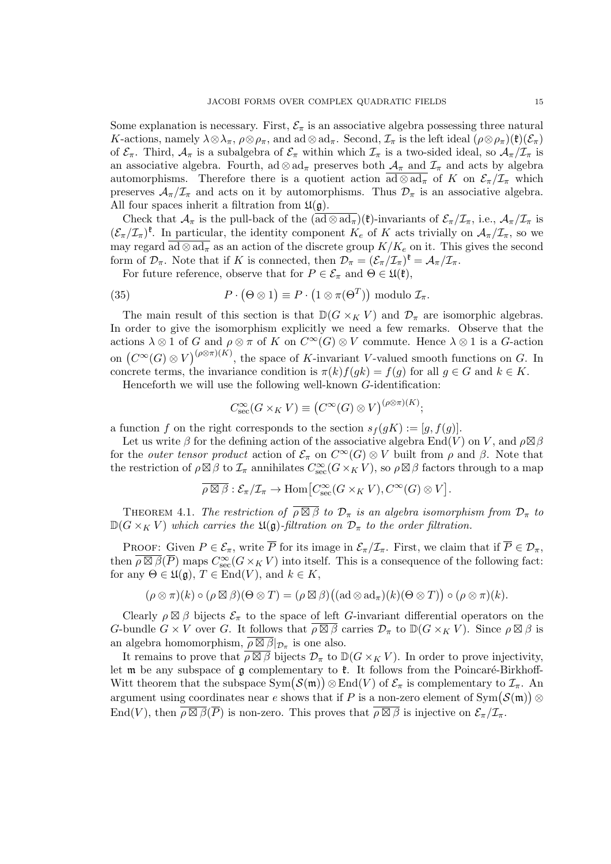Some explanation is necessary. First,  $\mathcal{E}_{\pi}$  is an associative algebra possessing three natural K-actions, namely  $\lambda \otimes \lambda_{\pi}$ ,  $\rho \otimes \rho_{\pi}$ , and ad  $\otimes$  ad<sub>π</sub>. Second,  $\mathcal{I}_{\pi}$  is the left ideal  $(\rho \otimes \rho_{\pi})(\mathfrak{k})(\mathcal{E}_{\pi})$ of  $\mathcal{E}_{\pi}$ . Third,  $\mathcal{A}_{\pi}$  is a subalgebra of  $\mathcal{E}_{\pi}$  within which  $\mathcal{I}_{\pi}$  is a two-sided ideal, so  $\mathcal{A}_{\pi}/\mathcal{I}_{\pi}$  is an associative algebra. Fourth, ad  $\otimes$  ad<sub>π</sub> preserves both  $\mathcal{A}_{\pi}$  and  $\mathcal{I}_{\pi}$  and acts by algebra automorphisms. Therefore there is a quotient action  $\overline{ad \otimes ad_{\pi}}$  of K on  $\mathcal{E}_{\pi}/\mathcal{I}_{\pi}$  which preserves  $A_{\pi}/\mathcal{I}_{\pi}$  and acts on it by automorphisms. Thus  $\mathcal{D}_{\pi}$  is an associative algebra. All four spaces inherit a filtration from  $\mathfrak{U}(\mathfrak{g})$ .

Check that  $\mathcal{A}_{\pi}$  is the pull-back of the  $(\overline{ad} \otimes \overline{ad}_{\pi})(\mathfrak{k})$ -invariants of  $\mathcal{E}_{\pi}/\mathcal{I}_{\pi}$ , i.e.,  $\mathcal{A}_{\pi}/\mathcal{I}_{\pi}$  is  $(\mathcal{E}_{\pi}/\mathcal{I}_{\pi})^{\mathfrak{k}}$ . In particular, the identity component  $K_e$  of K acts trivially on  $\mathcal{A}_{\pi}/\mathcal{I}_{\pi}$ , so we may regard  $\overline{\text{ad} \otimes \text{ad}_{\pi}}$  as an action of the discrete group  $K/K_e$  on it. This gives the second form of  $\mathcal{D}_{\pi}$ . Note that if K is connected, then  $\mathcal{D}_{\pi} = (\mathcal{E}_{\pi}/\mathcal{I}_{\pi})^{\mathfrak{k}} = \mathcal{A}_{\pi}/\mathcal{I}_{\pi}$ .

For future reference, observe that for  $P \in \mathcal{E}_{\pi}$  and  $\Theta \in \mathfrak{U}(\mathfrak{k})$ ,

(35) 
$$
P \cdot (\Theta \otimes 1) \equiv P \cdot (1 \otimes \pi(\Theta^T)) \text{ modulo } \mathcal{I}_{\pi}.
$$

The main result of this section is that  $\mathbb{D}(G \times_K V)$  and  $\mathcal{D}_{\pi}$  are isomorphic algebras. In order to give the isomorphism explicitly we need a few remarks. Observe that the actions  $\lambda \otimes 1$  of G and  $\rho \otimes \pi$  of K on  $C^{\infty}(G) \otimes V$  commute. Hence  $\lambda \otimes 1$  is a G-action on  $(C^{\infty}(G) \otimes V)^{(\rho \otimes \pi)(K)}$ , the space of K-invariant V-valued smooth functions on G. In concrete terms, the invariance condition is  $\pi(k)f(gk) = f(g)$  for all  $g \in G$  and  $k \in K$ .

Henceforth we will use the following well-known G-identification:

$$
C_{\rm sec}^{\infty}(G \times_K V) \equiv (C^{\infty}(G) \otimes V)^{(\rho \otimes \pi)(K)};
$$

a function f on the right corresponds to the section  $s_f(gK) := [g, f(g)]$ .

Let us write  $\beta$  for the defining action of the associative algebra  $\text{End}(V)$  on V, and  $\rho \boxtimes \beta$ for the *outer tensor product* action of  $\mathcal{E}_{\pi}$  on  $C^{\infty}(G) \otimes V$  built from  $\rho$  and  $\beta$ . Note that the restriction of  $\rho \boxtimes \beta$  to  $\mathcal{I}_{\pi}$  annihilates  $C^{\infty}_{\rm sec}(G \times_K V)$ , so  $\rho \boxtimes \beta$  factors through to a map

$$
\overline{\rho \boxtimes \beta} : \mathcal{E}_{\pi}/\mathcal{I}_{\pi} \to \text{Hom}\big[C_{\text{sec}}^{\infty}(G \times_K V), C^{\infty}(G) \otimes V\big].
$$

THEOREM 4.1. The restriction of  $\overline{\rho \boxtimes \beta}$  to  $\mathcal{D}_{\pi}$  is an algebra isomorphism from  $\mathcal{D}_{\pi}$  to  $\mathbb{D}(G \times_K V)$  which carries the  $\mathfrak{U}(\mathfrak{g})$ -filtration on  $\mathcal{D}_{\pi}$  to the order filtration.

PROOF: Given  $P \in \mathcal{E}_{\pi}$ , write  $\overline{P}$  for its image in  $\mathcal{E}_{\pi}/\mathcal{I}_{\pi}$ . First, we claim that if  $\overline{P} \in \mathcal{D}_{\pi}$ , then  $\overline{\rho \boxtimes \beta}(\overline{P})$  maps  $C^{\infty}_{\rm sec}(G \times_K V)$  into itself. This is a consequence of the following fact: for any  $\Theta \in \mathfrak{U}(\mathfrak{g}), T \in \text{End}(V)$ , and  $k \in K$ ,

$$
(\rho \otimes \pi)(k) \circ (\rho \boxtimes \beta)(\Theta \otimes T) = (\rho \boxtimes \beta)((\mathrm{ad} \otimes \mathrm{ad}_{\pi})(k)(\Theta \otimes T)) \circ (\rho \otimes \pi)(k).
$$

Clearly  $\rho \boxtimes \beta$  bijects  $\mathcal{E}_{\pi}$  to the space of left G-invariant differential operators on the G-bundle  $G \times V$  over G. It follows that  $\overline{\rho \boxtimes \beta}$  carries  $\mathcal{D}_{\pi}$  to  $\mathbb{D}(G \times_K V)$ . Since  $\rho \boxtimes \beta$  is an algebra homomorphism,  $\overline{\rho \boxtimes \beta}|_{\mathcal{D}_{\pi}}$  is one also.

It remains to prove that  $\overline{\rho \boxtimes \beta}$  bijects  $\mathcal{D}_{\pi}$  to  $\mathbb{D}(G \times_K V)$ . In order to prove injectivity, let  $\mathfrak m$  be any subspace of  $\mathfrak g$  complementary to  $\mathfrak k$ . It follows from the Poincaré-Birkhoff-Witt theorem that the subspace  $Sym(S(\mathfrak{m})) \otimes End(V)$  of  $\mathcal{E}_{\pi}$  is complementary to  $\mathcal{I}_{\pi}$ . An argument using coordinates near e shows that if P is a non-zero element of  $\text{Sym}(\mathcal{S}(\mathfrak{m}))\otimes$ End(V), then  $\rho \boxtimes \overline{\beta}(\overline{P})$  is non-zero. This proves that  $\rho \boxtimes \overline{\beta}$  is injective on  $\mathcal{E}_{\pi}/\mathcal{I}_{\pi}$ .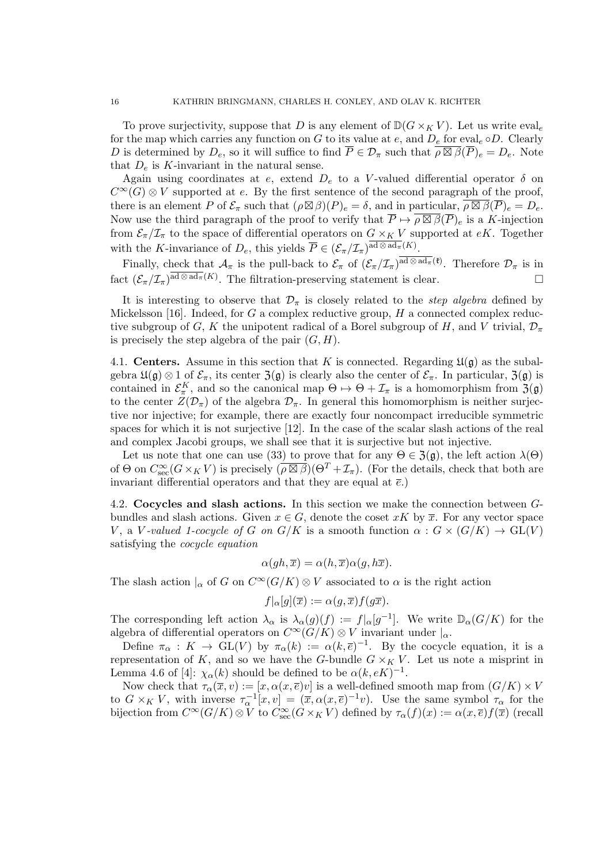To prove surjectivity, suppose that D is any element of  $\mathbb{D}(G \times_K V)$ . Let us write evale for the map which carries any function on G to its value at  $e$ , and  $D_e$  for eval<sub>e</sub>  $\circ D$ . Clearly D is determined by  $D_e$ , so it will suffice to find  $\overline{P} \in \mathcal{D}_{\pi}$  such that  $\overline{\rho \boxtimes \beta}(\overline{P})_e = D_e$ . Note that  $D_e$  is K-invariant in the natural sense.

Again using coordinates at e, extend  $D_e$  to a V-valued differential operator  $\delta$  on  $C^{\infty}(G) \otimes V$  supported at e. By the first sentence of the second paragraph of the proof, there is an element P of  $\mathcal{E}_{\pi}$  such that  $(\rho \boxtimes \beta)(P)_{e} = \delta$ , and in particular,  $\rho \boxtimes \beta(\overline{P})_{e} = D_{e}$ . Now use the third paragraph of the proof to verify that  $\overline{P} \mapsto \overline{\rho \boxtimes \beta}(\overline{P})_e$  is a K-injection from  $\mathcal{E}_{\pi}/\mathcal{I}_{\pi}$  to the space of differential operators on  $G \times_K V$  supported at eK. Together with the K-invariance of  $D_e$ , this yields  $\overline{P} \in (\mathcal{E}_{\pi}/\mathcal{I}_{\pi})^{\mathrm{ad}\otimes \mathrm{ad}_{\pi}(K)}$ .

Finally, check that  $\mathcal{A}_{\pi}$  is the pull-back to  $\mathcal{E}_{\pi}$  of  $(\mathcal{E}_{\pi}/\mathcal{I}_{\pi})^{\text{ad}\otimes \text{ad}_{\pi}(\mathfrak{k})}$ . Therefore  $\mathcal{D}_{\pi}$  is in fact  $(\mathcal{E}_{\pi}/\mathcal{I}_{\pi})^{\overline{ad}\otimes ad_{\pi}(K)}$ . The filtration-preserving statement is clear.

It is interesting to observe that  $\mathcal{D}_{\pi}$  is closely related to the *step algebra* defined by Mickelsson [16]. Indeed, for G a complex reductive group, H a connected complex reductive subgroup of G, K the unipotent radical of a Borel subgroup of H, and V trivial,  $\mathcal{D}_{\pi}$ is precisely the step algebra of the pair  $(G, H)$ .

4.1. Centers. Assume in this section that K is connected. Regarding  $\mathfrak{U}(\mathfrak{g})$  as the subalgebra  $\mathfrak{U}(\mathfrak{g})\otimes 1$  of  $\mathcal{E}_{\pi}$ , its center  $\mathfrak{Z}(\mathfrak{g})$  is clearly also the center of  $\mathcal{E}_{\pi}$ . In particular,  $\mathfrak{Z}(\mathfrak{g})$  is contained in  $\mathcal{E}_{\pi}^K$ , and so the canonical map  $\Theta \mapsto \Theta + \mathcal{I}_{\pi}$  is a homomorphism from  $\mathfrak{Z}(\mathfrak{g})$ to the center  $Z(\mathcal{D}_{\pi})$  of the algebra  $\mathcal{D}_{\pi}$ . In general this homomorphism is neither surjective nor injective; for example, there are exactly four noncompact irreducible symmetric spaces for which it is not surjective [12]. In the case of the scalar slash actions of the real and complex Jacobi groups, we shall see that it is surjective but not injective.

Let us note that one can use (33) to prove that for any  $\Theta \in \mathfrak{Z}(\mathfrak{g})$ , the left action  $\lambda(\Theta)$ of  $\Theta$  on  $C_{\text{sec}}^{\infty}(G\times_K V)$  is precisely  $(\overline{\rho\boxtimes\beta})(\Theta^T+\mathcal{I}_{\pi})$ . (For the details, check that both are invariant differential operators and that they are equal at  $\bar{e}$ .)

4.2. Cocycles and slash actions. In this section we make the connection between Gbundles and slash actions. Given  $x \in G$ , denote the coset xK by  $\overline{x}$ . For any vector space V, a V-valued 1-cocycle of G on  $G/K$  is a smooth function  $\alpha : G \times (G/K) \to GL(V)$ satisfying the cocycle equation

$$
\alpha(gh,\overline{x}) = \alpha(h,\overline{x})\alpha(g,h\overline{x}).
$$

The slash action  $\vert_{\alpha}$  of G on  $C^{\infty}(G/K) \otimes V$  associated to  $\alpha$  is the right action

$$
f|_{\alpha}[g](\overline{x}) := \alpha(g, \overline{x})f(g\overline{x}).
$$

The corresponding left action  $\lambda_{\alpha}$  is  $\lambda_{\alpha}(g)(f) := f_{\alpha}[g^{-1}]$ . We write  $\mathbb{D}_{\alpha}(G/K)$  for the algebra of differential operators on  $C^{\infty}(G/K) \otimes V$  invariant under  $|_{\alpha}$ .

Define  $\pi_{\alpha}: K \to GL(V)$  by  $\pi_{\alpha}(k) := \alpha(k,\overline{e})^{-1}$ . By the cocycle equation, it is a representation of K, and so we have the G-bundle  $G \times_K V$ . Let us note a misprint in Lemma 4.6 of [4]:  $\chi_{\alpha}(k)$  should be defined to be  $\alpha(k, eK)^{-1}$ .

Now check that  $\tau_{\alpha}(\overline{x}, v) := [x, \alpha(x, \overline{e})v]$  is a well-defined smooth map from  $(G/K) \times V$ to  $G \times_K V$ , with inverse  $\tau_{\alpha}^{-1}[x,v] = (\overline{x}, \alpha(x,\overline{e})^{-1}v)$ . Use the same symbol  $\tau_{\alpha}$  for the bijection from  $C^{\infty}(G/K) \otimes V$  to  $C^{\infty}_{\text{sec}}(G \times_K V)$  defined by  $\tau_{\alpha}(f)(x) := \alpha(x,\overline{e})f(\overline{x})$  (recall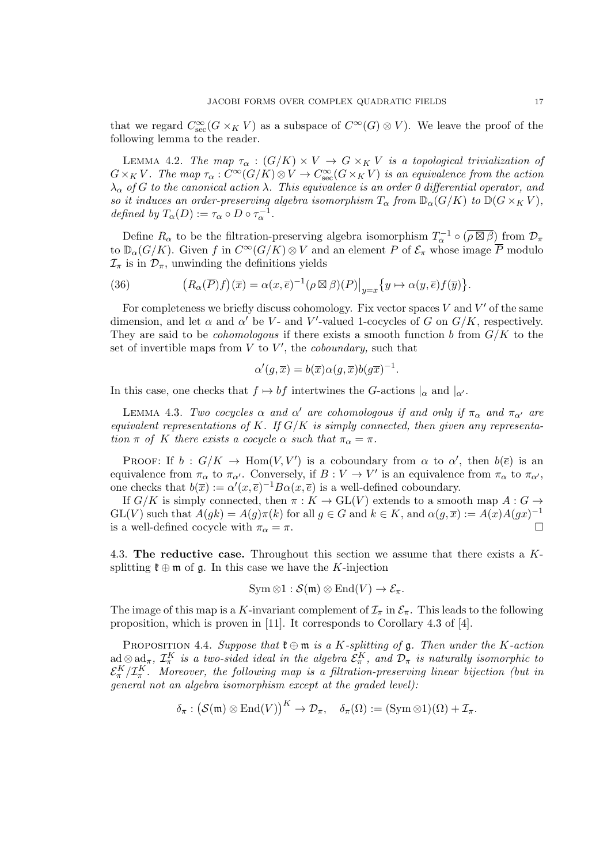that we regard  $C^{\infty}_{\rm sec}(G \times_K V)$  as a subspace of  $C^{\infty}(G) \otimes V$ ). We leave the proof of the following lemma to the reader.

LEMMA 4.2. The map  $\tau_{\alpha}: (G/K) \times V \to G \times_K V$  is a topological trivialization of  $G\times_K V$ . The map  $\tau_\alpha:C^\infty(G/K)\otimes V\to C^\infty_{\rm sec}(G\times_K V)$  is an equivalence from the action  $\lambda_{\alpha}$  of G to the canonical action  $\lambda$ . This equivalence is an order 0 differential operator, and so it induces an order-preserving algebra isomorphism  $T_{\alpha}$  from  $\mathbb{D}_{\alpha}(G/K)$  to  $\mathbb{D}(G\times_K V)$ , defined by  $T_{\alpha}(D) := \tau_{\alpha} \circ D \circ \tau_{\alpha}^{-1}$ .

Define  $R_{\alpha}$  to be the filtration-preserving algebra isomorphism  $T_{\alpha}^{-1} \circ (\overline{\rho \boxtimes \beta})$  from  $\mathcal{D}_{\pi}$ to  $\mathbb{D}_{\alpha}(G/K)$ . Given f in  $C^{\infty}(G/K) \otimes V$  and an element P of  $\mathcal{E}_{\pi}$  whose image  $\overline{P}$  modulo  $\mathcal{I}_{\pi}$  is in  $\mathcal{D}_{\pi}$ , unwinding the definitions yields

(36) 
$$
(R_{\alpha}(\overline{P})f)(\overline{x}) = \alpha(x,\overline{e})^{-1}(\rho \boxtimes \beta)(P)|_{y=x}\{y \mapsto \alpha(y,\overline{e})f(\overline{y})\}.
$$

For completeness we briefly discuss cohomology. Fix vector spaces  $V$  and  $V'$  of the same dimension, and let  $\alpha$  and  $\alpha'$  be V- and V'-valued 1-cocycles of G on  $G/K$ , respectively. They are said to be *cohomologous* if there exists a smooth function b from  $G/K$  to the set of invertible maps from  $V$  to  $V'$ , the *coboundary*, such that

$$
\alpha'(g,\overline{x}) = b(\overline{x})\alpha(g,\overline{x})b(g\overline{x})^{-1}.
$$

In this case, one checks that  $f \mapsto bf$  intertwines the G-actions  $|_{\alpha}$  and  $|_{\alpha'}$ .

LEMMA 4.3. Two cocycles  $\alpha$  and  $\alpha'$  are cohomologous if and only if  $\pi_{\alpha}$  and  $\pi_{\alpha'}$  are equivalent representations of K. If  $G/K$  is simply connected, then given any representation  $\pi$  of K there exists a cocycle  $\alpha$  such that  $\pi_{\alpha} = \pi$ .

PROOF: If  $b: G/K \to \text{Hom}(V, V')$  is a coboundary from  $\alpha$  to  $\alpha'$ , then  $b(\overline{e})$  is an equivalence from  $\pi_{\alpha}$  to  $\pi_{\alpha'}$ . Conversely, if  $B: V \to V'$  is an equivalence from  $\pi_{\alpha}$  to  $\pi_{\alpha'}$ , one checks that  $b(\overline{x}) := \alpha'(x,\overline{e})^{-1}B\alpha(x,\overline{e})$  is a well-defined coboundary.

If  $G/K$  is simply connected, then  $\pi : K \to GL(V)$  extends to a smooth map  $A : G \to$  $GL(V)$  such that  $A(gk) = A(g)\pi(k)$  for all  $g \in G$  and  $k \in K$ , and  $\alpha(g, \overline{x}) := A(x)A(gx)^{-1}$ is a well-defined cocycle with  $\pi_{\alpha} = \pi$ .

4.3. The reductive case. Throughout this section we assume that there exists a Ksplitting  $\mathfrak{k} \oplus \mathfrak{m}$  of  $\mathfrak{g}$ . In this case we have the K-injection

$$
\mathrm{Sym} \otimes 1 : \mathcal{S}(\mathfrak{m}) \otimes \mathrm{End}(V) \to \mathcal{E}_{\pi}.
$$

The image of this map is a K-invariant complement of  $\mathcal{I}_{\pi}$  in  $\mathcal{E}_{\pi}$ . This leads to the following proposition, which is proven in [11]. It corresponds to Corollary 4.3 of [4].

PROPOSITION 4.4. Suppose that  $\mathfrak{k} \oplus \mathfrak{m}$  is a K-splitting of  $\mathfrak{g}$ . Then under the K-action  $ad \otimes ad_{\pi}$ ,  $\mathcal{I}_{\pi}^K$  is a two-sided ideal in the algebra  $\mathcal{E}_{\pi}^K$ , and  $\mathcal{D}_{\pi}$  is naturally isomorphic to  $\mathcal{E}_\pi^K/\mathcal{I}_\pi^K$ . Moreover, the following map is a filtration-preserving linear bijection (but in general not an algebra isomorphism except at the graded level):

$$
\delta_{\pi}: (\mathcal{S}(\mathfrak{m}) \otimes \mathrm{End}(V))^K \to \mathcal{D}_{\pi}, \quad \delta_{\pi}(\Omega) := (\mathrm{Sym} \otimes 1)(\Omega) + \mathcal{I}_{\pi}.
$$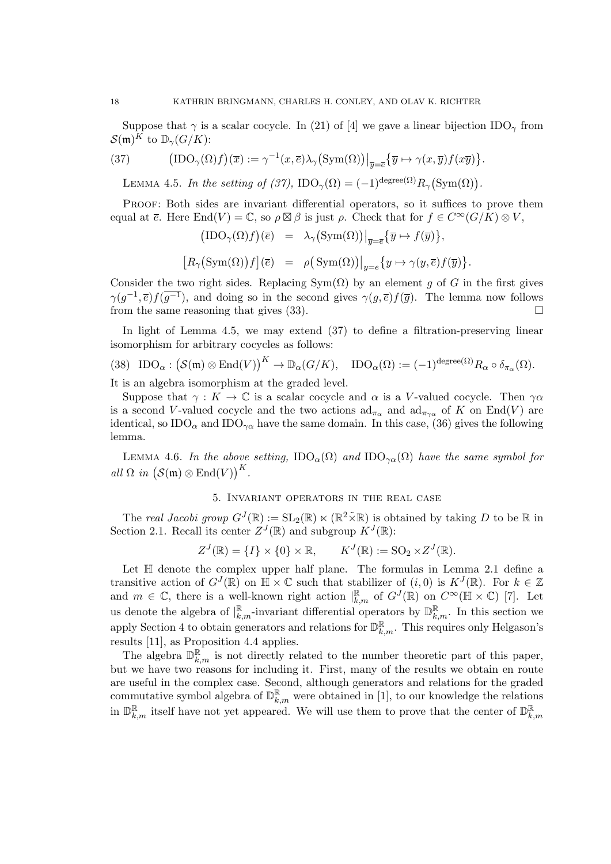Suppose that  $\gamma$  is a scalar cocycle. In (21) of [4] we gave a linear bijection IDO<sub> $\gamma$ </sub> from  $\mathcal{S}(\mathfrak{m})^K$  to  $\mathbb{D}_{\gamma}(G/K)$ :

(37) 
$$
\left(\text{IDO}_{\gamma}(\Omega)f\right)(\overline{x}) := \gamma^{-1}(x,\overline{e})\lambda_{\gamma}\left(\text{Sym}(\Omega)\right)\big|_{\overline{y}=\overline{e}}\left\{\overline{y}\mapsto \gamma(x,\overline{y})f(x\overline{y})\right\}.
$$

LEMMA 4.5. In the setting of (37),  $\text{IDO}_{\gamma}(\Omega) = (-1)^{\text{degree}(\Omega)} R_{\gamma}(\text{Sym}(\Omega)).$ 

Proof: Both sides are invariant differential operators, so it suffices to prove them equal at  $\overline{e}$ . Here  $\text{End}(V) = \mathbb{C}$ , so  $\rho \boxtimes \beta$  is just  $\rho$ . Check that for  $f \in C^{\infty}(G/K) \otimes V$ ,

$$
\begin{array}{rcl}\n\left(\text{IDO}_{\gamma}(\Omega)f\right)(\overline{e}) & = & \lambda_{\gamma}\left(\text{Sym}(\Omega)\right)\big|_{\overline{y}=\overline{e}}\left\{\overline{y} \mapsto f(\overline{y})\right\}, \\
\left[R_{\gamma}\left(\text{Sym}(\Omega)\right)f\right](\overline{e}) & = & \rho\left(\text{Sym}(\Omega)\right)\big|_{y=\overline{e}}\left\{y \mapsto \gamma(y,\overline{e})f(\overline{y})\right\}.\n\end{array}
$$

Consider the two right sides. Replacing  $Sym(\Omega)$  by an element g of G in the first gives  $\gamma(g^{-1}, \overline{e}) f(g^{-1})$ , and doing so in the second gives  $\gamma(g, \overline{e}) f(\overline{g})$ . The lemma now follows from the same reasoning that gives  $(33)$ .

In light of Lemma 4.5, we may extend (37) to define a filtration-preserving linear isomorphism for arbitrary cocycles as follows:

(38) 
$$
\text{IDO}_{\alpha}: (\mathcal{S}(\mathfrak{m}) \otimes \text{End}(V))^K \to \mathbb{D}_{\alpha}(G/K), \quad \text{IDO}_{\alpha}(\Omega) := (-1)^{\text{degree}(\Omega)} R_{\alpha} \circ \delta_{\pi_{\alpha}}(\Omega).
$$

It is an algebra isomorphism at the graded level.

Suppose that  $\gamma: K \to \mathbb{C}$  is a scalar cocycle and  $\alpha$  is a V-valued cocycle. Then  $\gamma \alpha$ is a second V-valued cocycle and the two actions  $\mathrm{ad}_{\pi_{\alpha}}$  and  $\mathrm{ad}_{\pi_{\gamma_{\alpha}}}$  of K on End(V) are identical, so  $IDO_{\alpha}$  and  $IDO_{\gamma\alpha}$  have the same domain. In this case, (36) gives the following lemma.

LEMMA 4.6. In the above setting,  $\text{IDO}_{\alpha}(\Omega)$  and  $\text{IDO}_{\gamma\alpha}(\Omega)$  have the same symbol for all  $\Omega$  in  $(\mathcal{S}(\mathfrak{m}) \otimes \mathrm{End}(V))^K$ .

# 5. Invariant operators in the real case

The real Jacobi group  $G^{J}(\mathbb{R}) := SL_2(\mathbb{R}) \ltimes (\mathbb{R}^2 \times \mathbb{R})$  is obtained by taking D to be  $\mathbb R$  in Section 2.1. Recall its center  $Z^{J}(\mathbb{R})$  and subgroup  $K^{J}(\mathbb{R})$ :

$$
Z^{J}(\mathbb{R}) = \{I\} \times \{0\} \times \mathbb{R}, \qquad K^{J}(\mathbb{R}) := SO_2 \times Z^{J}(\mathbb{R}).
$$

Let  $\mathbb H$  denote the complex upper half plane. The formulas in Lemma 2.1 define a transitive action of  $G^{J}(\mathbb{R})$  on  $\mathbb{H} \times \mathbb{C}$  such that stabilizer of  $(i,0)$  is  $K^{J}(\mathbb{R})$ . For  $k \in \mathbb{Z}$ and  $m \in \mathbb{C}$ , there is a well-known right action  $\mathbb{R}_{k,m}$  of  $G^{J}(\mathbb{R})$  on  $C^{\infty}(\mathbb{H} \times \mathbb{C})$  [7]. Let us denote the algebra of  $\vert_{k,m}^{\mathbb{R}}$ -invariant differential operators by  $\mathbb{D}_{k,m}^{\mathbb{R}}$ . In this section we apply Section 4 to obtain generators and relations for  $\mathbb{D}_{k,m}^{\mathbb{R}}$ . This requires only Helgason's results [11], as Proposition 4.4 applies.

The algebra  $\mathbb{D}_{k,m}^{\mathbb{R}}$  is not directly related to the number theoretic part of this paper, but we have two reasons for including it. First, many of the results we obtain en route are useful in the complex case. Second, although generators and relations for the graded commutative symbol algebra of  $\mathbb{D}_{k,m}^{\mathbb{R}}$  were obtained in [1], to our knowledge the relations in  $\mathbb{D}_{k,m}^{\mathbb{R}}$  itself have not yet appeared. We will use them to prove that the center of  $\mathbb{D}_{k}^{\mathbb{R}}$  $k,m$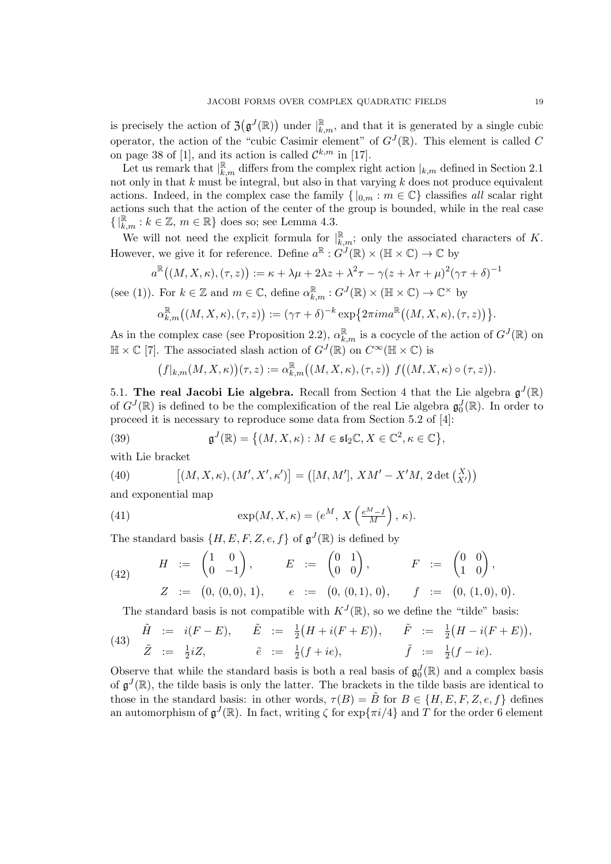is precisely the action of  $\mathfrak{Z}(\mathfrak{g}^J(\mathbb{R}))$  under  $\vert_{k,m}^{\mathbb{R}},$  and that it is generated by a single cubic operator, the action of the "cubic Casimir element" of  $G^{J}(\mathbb{R})$ . This element is called C on page 38 of [1], and its action is called  $\mathcal{C}^{k,m}$  in [17].

Let us remark that  $\vert_{k,m}^{\mathbb{R}}$  differs from the complex right action  $\vert_{k,m}$  defined in Section 2.1 not only in that  $k$  must be integral, but also in that varying  $k$  does not produce equivalent actions. Indeed, in the complex case the family  $\{ |_{0,m} : m \in \mathbb{C} \}$  classifies all scalar right actions such that the action of the center of the group is bounded, while in the real case  $\{ |_{k,m}^{\mathbb{R}} : k \in \mathbb{Z}, m \in \mathbb{R} \}$  does so; see Lemma 4.3.

We will not need the explicit formula for  $\vert_{k,m}^{\mathbb{R}}$ ; only the associated characters of K. However, we give it for reference. Define  $a^{\mathbb{R}}: G^{J}(\mathbb{R}) \times (\mathbb{H} \times \mathbb{C}) \to \mathbb{C}$  by

$$
a^{\mathbb{R}}((M, X, \kappa), (\tau, z)) := \kappa + \lambda\mu + 2\lambda z + \lambda^{2}\tau - \gamma(z + \lambda\tau + \mu)^{2}(\gamma\tau + \delta)^{-1}
$$

(see (1)). For  $k \in \mathbb{Z}$  and  $m \in \mathbb{C}$ , define  $\alpha_{k,m}^{\mathbb{R}} : G^{J}(\mathbb{R}) \times (\mathbb{H} \times \mathbb{C}) \to \mathbb{C}^{\times}$  by

$$
\alpha_{k,m}^{\mathbb{R}}\big((M,X,\kappa),(\tau,z)\big):=(\gamma\tau+\delta)^{-k}\exp\big\{2\pi i m a^{\mathbb{R}}\big((M,X,\kappa),(\tau,z)\big)\big\}.
$$

As in the complex case (see Proposition 2.2),  $\alpha_{k,m}^{\mathbb{R}}$  is a cocycle of the action of  $G^{J}(\mathbb{R})$  on  $\mathbb{H} \times \mathbb{C}$  [7]. The associated slash action of  $G^{J}(\mathbb{R})$  on  $C^{\infty}(\mathbb{H} \times \mathbb{C})$  is

$$
(f|_{k,m}(M,X,\kappa))(\tau,z):=\alpha_{k,m}^{\mathbb{R}}\big((M,X,\kappa),(\tau,z)\big)\ f\big((M,X,\kappa)\circ(\tau,z)\big).
$$

5.1. The real Jacobi Lie algebra. Recall from Section 4 that the Lie algebra  $\mathfrak{g}^J(\mathbb{R})$ of  $G^{J}(\mathbb{R})$  is defined to be the complexification of the real Lie algebra  $\mathfrak{g}_{0}^{J}(\mathbb{R})$ . In order to proceed it is necessary to reproduce some data from Section 5.2 of [4]:

(39) 
$$
\mathfrak{g}^J(\mathbb{R}) = \left\{ (M, X, \kappa) : M \in \mathfrak{sl}_2\mathbb{C}, X \in \mathbb{C}^2, \kappa \in \mathbb{C} \right\},\
$$

with Lie bracket

(40) 
$$
[(M, X, \kappa), (M', X', \kappa')] = ([M, M'], X M' - X'M, 2 \det (X')])
$$

and exponential map

(41) 
$$
\exp(M, X, \kappa) = (e^M, X\left(\frac{e^M - I}{M}\right), \kappa).
$$

The standard basis  $\{H, E, F, Z, e, f\}$  of  $\mathfrak{g}^{J}(\mathbb{R})$  is defined by

(42) 
$$
H := \begin{pmatrix} 1 & 0 \\ 0 & -1 \end{pmatrix}
$$
,  $E := \begin{pmatrix} 0 & 1 \\ 0 & 0 \end{pmatrix}$ ,  $F := \begin{pmatrix} 0 & 0 \\ 1 & 0 \end{pmatrix}$ ,  
\n $Z := (0, (0,0), 1)$ ,  $e := (0, (0,1), 0)$ ,  $f := (0, (1,0), 0)$ .

The standard basis is not compatible with  $K^{J}(\mathbb{R})$ , so we define the "tilde" basis:

(43) 
$$
\tilde{H} := i(F - E), \quad \tilde{E} := \frac{1}{2}(H + i(F + E)), \quad \tilde{F} := \frac{1}{2}(H - i(F + E)),
$$
  
\n $\tilde{Z} := \frac{1}{2}iZ, \quad \tilde{e} := \frac{1}{2}(f + ie), \quad \tilde{f} := \frac{1}{2}(f - ie).$ 

Observe that while the standard basis is both a real basis of  $\mathfrak{g}_0^J(\mathbb{R})$  and a complex basis of  $\mathfrak{g}^{J}(\mathbb{R})$ , the tilde basis is only the latter. The brackets in the tilde basis are identical to those in the standard basis: in other words,  $\tau(B) = B$  for  $B \in \{H, E, F, Z, e, f\}$  defines an automorphism of  $\mathfrak{g}^J(\mathbb{R})$ . In fact, writing  $\zeta$  for exp $\{\pi i/4\}$  and  $\overline{T}$  for the order 6 element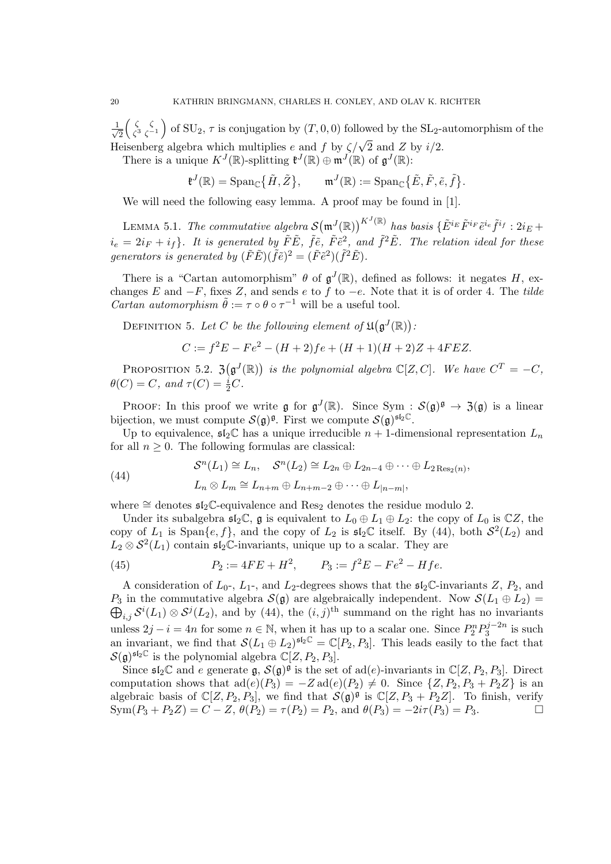$\frac{1}{\sqrt{2}}$ 2 ζ ζ  $\zeta_3^{\zeta}$   $\zeta_{-1}^{\zeta}$  of SU<sub>2</sub>,  $\tau$  is conjugation by  $(T, 0, 0)$  followed by the SL<sub>2</sub>-automorphism of the Heisenberg algebra which multiplies e and f by  $\zeta/\sqrt{2}$  and Z by  $i/2$ .

There is a unique  $K^{J}(\mathbb{R})$ -splitting  $\mathfrak{k}^{J}(\mathbb{R}) \oplus \mathfrak{m}^{J}(\mathbb{R})$  of  $\mathfrak{g}^{J}(\mathbb{R})$ :

$$
\mathfrak{k}^{J}(\mathbb{R}) = \mathrm{Span}_{\mathbb{C}}\big\{\tilde{H}, \tilde{Z}\big\}, \qquad \mathfrak{m}^{J}(\mathbb{R}) := \mathrm{Span}_{\mathbb{C}}\big\{\tilde{E}, \tilde{F}, \tilde{e}, \tilde{f}\big\}.
$$

We will need the following easy lemma. A proof may be found in [1].

LEMMA 5.1. The commutative algebra  $\mathcal{S}(\mathfrak{m}^J(\mathbb{R}))^{K^J(\mathbb{R})}$  has basis  $\{\tilde{E}^{i_E}\tilde{F}^{i_F}\tilde{e}^{i_e}\tilde{f}^{i_f}:2i_E+\ldots\}$  $i_e = 2i_F + i_f$ . It is generated by  $\tilde{F}\tilde{E}$ ,  $\tilde{f}\tilde{e}$ ,  $\tilde{F}\tilde{e}^2$ , and  $\tilde{f}^2\tilde{E}$ . The relation ideal for these generators is generated by  $(\tilde{F}\tilde{E})(\tilde{f}\tilde{e})^2 = (\tilde{F}\tilde{e}^2)(\tilde{f}^2\tilde{E}).$ 

There is a "Cartan automorphism"  $\theta$  of  $\mathfrak{g}^{J}(\mathbb{R})$ , defined as follows: it negates H, exchanges E and  $-F$ , fixes Z, and sends e to f to  $-e$ . Note that it is of order 4. The tilde *Cartan automorphism*  $\tilde{\theta} := \tau \circ \theta \circ \tau^{-1}$  will be a useful tool.

DEFINITION 5. Let C be the following element of  $\mathfrak{U}(\mathfrak{g}^J(\mathbb{R}))$ :

$$
C := f^2 E - Fe^2 - (H+2)fe + (H+1)(H+2)Z + 4FEZ.
$$

PROPOSITION 5.2.  $\mathfrak{Z}(\mathfrak{g}^J(\mathbb{R}))$  is the polynomial algebra  $\mathbb{C}[Z, C]$ . We have  $C^T = -C$ ,  $\theta(C) = C$ , and  $\tau(C) = \frac{i}{2}C$ .

PROOF: In this proof we write  $\mathfrak{g}$  for  $\mathfrak{g}^J(\mathbb{R})$ . Since Sym :  $\mathcal{S}(\mathfrak{g})^{\mathfrak{g}} \to \mathfrak{Z}(\mathfrak{g})$  is a linear bijection, we must compute  $\mathcal{S}(\mathfrak{g})^{\mathfrak{g}}$ . First we compute  $\mathcal{S}(\mathfrak{g})^{\mathfrak{sl}_2\mathbb{C}}$ .

Up to equivalence,  $\mathfrak{sl}_2\mathbb{C}$  has a unique irreducible  $n+1$ -dimensional representation  $L_n$ for all  $n \geq 0$ . The following formulas are classical:

,

(44) 
$$
\mathcal{S}^n(L_1) \cong L_n, \quad \mathcal{S}^n(L_2) \cong L_{2n} \oplus L_{2n-4} \oplus \cdots \oplus L_{2 \operatorname{Res}_2(n)}
$$

$$
L_n \otimes L_m \cong L_{n+m} \oplus L_{n+m-2} \oplus \cdots \oplus L_{|n-m|},
$$

where  $\cong$  denotes  $\mathfrak{sl}_2\mathbb{C}$ -equivalence and Res<sub>2</sub> denotes the residue modulo 2.

Under its subalgebra  $\mathfrak{sl}_2\mathbb{C}$ ,  $\mathfrak g$  is equivalent to  $L_0 \oplus L_1 \oplus L_2$ : the copy of  $L_0$  is  $\mathbb{C}Z$ , the copy of  $L_1$  is Span $\{e, f\}$ , and the copy of  $L_2$  is  $\mathfrak{sl}_2\mathbb{C}$  itself. By (44), both  $\mathcal{S}^2(L_2)$  and  $L_2 \otimes S^2(L_1)$  contain  $\mathfrak{sl}_2\mathbb{C}$ -invariants, unique up to a scalar. They are

(45) 
$$
P_2 := 4FE + H^2, \qquad P_3 := f^2E - Fe^2 - Hfe.
$$

A consideration of  $L_0$ -,  $L_1$ -, and  $L_2$ -degrees shows that the  $\mathfrak{sl}_2\mathbb{C}$ -invariants Z,  $P_2$ , and  $P_3$  in the commutative algebra  $\mathcal{S}(\mathfrak{g})$  are algebraically independent. Now  $\mathcal{S}(L_1 \oplus L_2)$  $\bigoplus_{i,j} \mathcal{S}^i(L_1) \otimes \mathcal{S}^j(L_2)$ , and by (44), the  $(i,j)$ <sup>th</sup> summand on the right has no invariants unless  $2j - i = 4n$  for some  $n \in \mathbb{N}$ , when it has up to a scalar one. Since  $P_2^n P_3^{j-2n}$  $3^{j-2n}$  is such an invariant, we find that  $\mathcal{S}(L_1 \oplus L_2)^{\mathfrak{sl}_2\mathbb{C}} = \mathbb{C}[P_2, P_3]$ . This leads easily to the fact that  $S(\mathfrak{g})^{\mathfrak{sl}_2\mathbb{C}}$  is the polynomial algebra  $\mathbb{C}[Z, P_2, P_3]$ .

Since  $\mathfrak{sl}_2\mathbb{C}$  and e generate  $\mathfrak{g}, \mathcal{S}(\mathfrak{g})^{\mathfrak{g}}$  is the set of ad(e)-invariants in  $\mathbb{C}[Z, P_2, P_3]$ . Direct computation shows that  $ad(e)(P_3) = -Z ad(e)(P_2) \neq 0$ . Since  $\{Z, P_2, P_3 + P_2 Z\}$  is an algebraic basis of  $\mathbb{C}[Z, P_2, P_3]$ , we find that  $\mathcal{S}(\mathfrak{g})^{\mathfrak{g}}$  is  $\mathbb{C}[Z, P_3 + P_2 Z]$ . To finish, verify  $Sym(P_3 + P_2 Z) = C - Z$ ,  $\theta(P_2) = \tau(P_2) = P_2$ , and  $\theta(P_3) = -2i\tau(P_3) = P_3$ .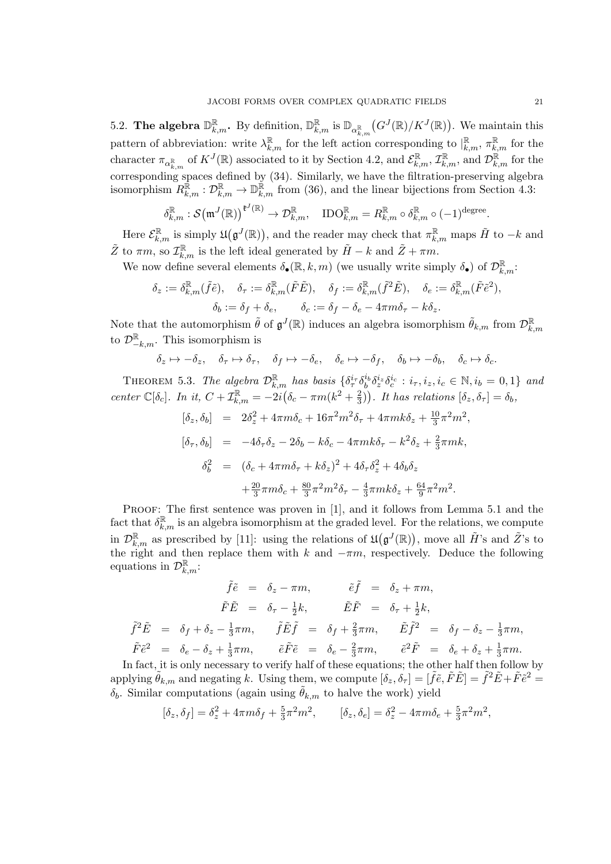5.2. The algebra  $\mathbb{D}_{k,m}^{\mathbb{R}}$ . By definition,  $\mathbb{D}_{k,m}^{\mathbb{R}}$  is  $\mathbb{D}_{\alpha_{k,m}^{\mathbb{R}}}(G^J(\mathbb{R})/K^J(\mathbb{R}))$ . We maintain this pattern of abbreviation: write  $\lambda_{k,m}^{\mathbb{R}}$  for the left action corresponding to  $\vert_{k,m}^{\mathbb{R}}, \pi_{k,m}^{\mathbb{R}}$  for the character  $\pi_{\alpha_{k,m}^{\mathbb{R}}}$  of  $K^{J}(\mathbb{R})$  associated to it by Section 4.2, and  $\mathcal{E}_{k,m}^{\mathbb{R}}, \mathcal{I}_{k,m}^{\mathbb{R}},$  and  $\mathcal{D}_{k,m}^{\mathbb{R}}$  for the corresponding spaces defined by (34). Similarly, we have the filtration-preserving algebra isomorphism  $R_{k,m}^{\mathbb{R}} : \mathcal{D}_{k,m}^{\mathbb{R}} \to \mathbb{D}_{k,m}^{\mathbb{R}}$  from (36), and the linear bijections from Section 4.3:

$$
\delta_{k,m}^{\mathbb{R}} : \mathcal{S}(\mathfrak{m}^J(\mathbb{R}))^{\mathfrak{k}^J(\mathbb{R})} \to \mathcal{D}_{k,m}^{\mathbb{R}}, \quad \text{IDO}_{k,m}^{\mathbb{R}} = R_{k,m}^{\mathbb{R}} \circ \delta_{k,m}^{\mathbb{R}} \circ (-1)^{\text{degree}}.
$$

Here  $\mathcal{E}_{k,m}^{\mathbb{R}}$  is simply  $\mathfrak{U}(\mathfrak{g}^{J}(\mathbb{R}))$ , and the reader may check that  $\pi_{k,m}^{\mathbb{R}}$  maps  $\tilde{H}$  to  $-k$  and  $\tilde{Z}$  to  $\pi m$ , so  $\mathcal{I}_{k,m}^{\mathbb{R}}$  is the left ideal generated by  $\tilde{H} - k$  and  $\tilde{Z} + \pi m$ .

We now define several elements  $\delta_{\bullet}(\mathbb{R}, k, m)$  (we usually write simply  $\delta_{\bullet}$ ) of  $\mathcal{D}_{k,m}^{\mathbb{R}}$ .

$$
\delta_z := \delta_{k,m}^{\mathbb{R}}(\tilde{f}\tilde{e}), \quad \delta_\tau := \delta_{k,m}^{\mathbb{R}}(\tilde{F}\tilde{E}), \quad \delta_f := \delta_{k,m}^{\mathbb{R}}(\tilde{f}^2\tilde{E}), \quad \delta_e := \delta_{k,m}^{\mathbb{R}}(\tilde{F}\tilde{e}^2),
$$

$$
\delta_b := \delta_f + \delta_e, \qquad \delta_c := \delta_f - \delta_e - 4\pi m \delta_\tau - k \delta_z.
$$

Note that the automorphism  $\tilde{\theta}$  of  $\mathfrak{g}^{J}(\mathbb{R})$  induces an algebra isomorphism  $\tilde{\theta}_{k,m}$  from  $\mathcal{D}_{k,m}^{\mathbb{R}}$ to  $\mathcal{D}_{-k,m}^{\mathbb{R}}$ . This isomorphism is

$$
\delta_z \mapsto -\delta_z, \quad \delta_\tau \mapsto \delta_\tau, \quad \delta_f \mapsto -\delta_e, \quad \delta_e \mapsto -\delta_f, \quad \delta_b \mapsto -\delta_b, \quad \delta_c \mapsto \delta_c.
$$

THEOREM 5.3. The algebra  $\mathcal{D}_{k,m}^{\mathbb{R}}$  has basis  $\{\delta_{\tau}^{i_{\tau}}\delta_{b}^{i_{b}}\delta_{z}^{i_{z}}\delta_{c}^{i_{c}}:i_{\tau},i_{z},i_{c}\in\mathbb{N},i_{b}=0,1\}$  and center  $\mathbb{C}[\delta_c]$ . In it,  $C + \mathcal{I}_{k,m}^{\mathbb{R}} = -2i(\delta_c - \pi m(k^2 + \frac{2}{3}))$  $(\frac{2}{3})$ ). It has relations  $[\delta_z, \delta_{\tau}] = \delta_b$ ,

$$
[\delta_z, \delta_b] = 2\delta_z^2 + 4\pi m \delta_c + 16\pi^2 m^2 \delta_\tau + 4\pi m k \delta_z + \frac{10}{3}\pi^2 m^2,
$$
  
\n
$$
[\delta_\tau, \delta_b] = -4\delta_\tau \delta_z - 2\delta_b - k\delta_c - 4\pi m k \delta_\tau - k^2 \delta_z + \frac{2}{3}\pi m k,
$$
  
\n
$$
\delta_b^2 = (\delta_c + 4\pi m \delta_\tau + k\delta_z)^2 + 4\delta_\tau \delta_z^2 + 4\delta_b \delta_z
$$
  
\n
$$
+ \frac{20}{3}\pi m \delta_c + \frac{80}{3}\pi^2 m^2 \delta_\tau - \frac{4}{3}\pi m k \delta_z + \frac{64}{9}\pi^2 m^2.
$$

PROOF: The first sentence was proven in [1], and it follows from Lemma 5.1 and the fact that  $\delta_{k,m}^{\mathbb{R}}$  is an algebra isomorphism at the graded level. For the relations, we compute in  $\mathcal{D}_{k,m}^{\mathbb{R}}$  as prescribed by [11]: using the relations of  $\mathfrak{U}(\mathfrak{g}^J(\mathbb{R}))$ , move all  $\tilde{H}$ 's and  $\tilde{Z}$ 's to the right and then replace them with k and  $-\pi m$ , respectively. Deduce the following equations in  $\mathcal{D}_{k,m}^{\mathbb{R}}$ :

$$
\tilde{f}\tilde{e} = \delta_z - \pi m, \qquad \tilde{e}\tilde{f} = \delta_z + \pi m,
$$
  
\n
$$
\tilde{F}\tilde{E} = \delta_{\tau} - \frac{1}{2}k, \qquad \tilde{E}\tilde{F} = \delta_{\tau} + \frac{1}{2}k,
$$
  
\n
$$
\tilde{f}^2\tilde{E} = \delta_f + \delta_z - \frac{1}{3}\pi m, \qquad \tilde{f}\tilde{E}\tilde{f} = \delta_f + \frac{2}{3}\pi m, \qquad \tilde{E}\tilde{f}^2 = \delta_f - \delta_z - \frac{1}{3}\pi m,
$$
  
\n
$$
\tilde{F}\tilde{e}^2 = \delta_e - \delta_z + \frac{1}{3}\pi m, \qquad \tilde{e}\tilde{F}\tilde{e} = \delta_e - \frac{2}{3}\pi m, \qquad \tilde{e}^2\tilde{F} = \delta_e + \delta_z + \frac{1}{3}\pi m.
$$

In fact, it is only necessary to verify half of these equations; the other half then follow by applying  $\tilde{\theta}_{k,m}$  and negating k. Using them, we compute  $[\delta_z, \delta_\tau] = [\tilde{f}\tilde{e}, \tilde{F}\tilde{E}] = \tilde{f}^2 \tilde{E} + \tilde{F}\tilde{e}^2 =$  $\delta_b$ . Similar computations (again using  $\tilde{\theta}_{k,m}$  to halve the work) yield

$$
[\delta_z, \delta_f] = \delta_z^2 + 4\pi m \delta_f + \frac{5}{3}\pi^2 m^2, \qquad [\delta_z, \delta_e] = \delta_z^2 - 4\pi m \delta_e + \frac{5}{3}\pi^2 m^2,
$$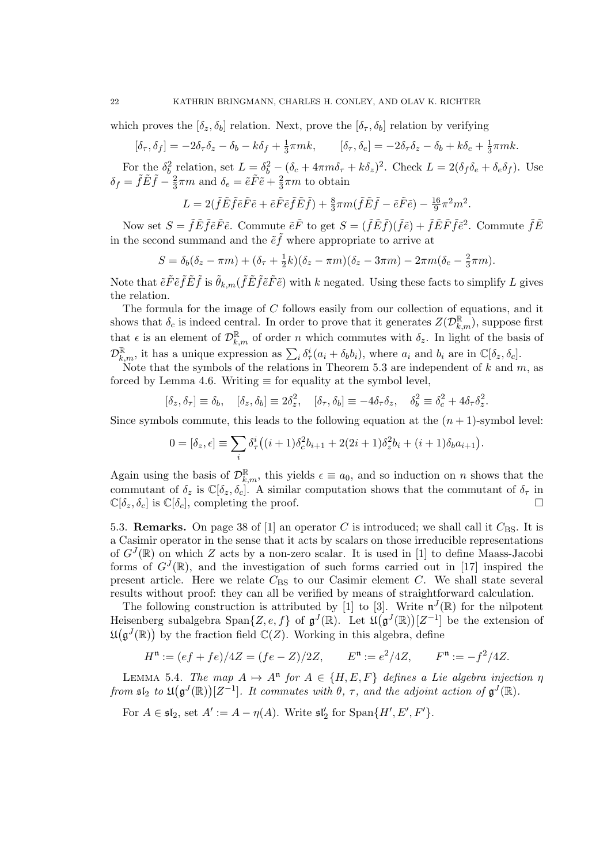which proves the  $[\delta_z, \delta_b]$  relation. Next, prove the  $[\delta_\tau, \delta_b]$  relation by verifying

$$
[\delta_{\tau}, \delta_f] = -2\delta_{\tau}\delta_z - \delta_b - k\delta_f + \frac{1}{3}\pi mk, \qquad [\delta_{\tau}, \delta_e] = -2\delta_{\tau}\delta_z - \delta_b + k\delta_e + \frac{1}{3}\pi mk.
$$

For the  $\delta_b^2$  relation, set  $L = \delta_b^2 - (\delta_c + 4\pi m \delta_\tau + k \delta_z)^2$ . Check  $L = 2(\delta_f \delta_e + \delta_e \delta_f)$ . Use  $\delta_f = \tilde{f} \tilde{E} \tilde{f} - \frac{2}{3}$  $\frac{2}{3}\pi m$  and  $\delta_e = \tilde{e}\tilde{F}\tilde{e} + \frac{2}{3}$  $\frac{2}{3}\pi m$  to obtain

$$
L = 2(\tilde{f}\tilde{E}\tilde{f}\tilde{e}\tilde{F}\tilde{e} + \tilde{e}\tilde{F}\tilde{e}\tilde{f}\tilde{E}\tilde{f}) + \frac{8}{3}\pi m(\tilde{f}\tilde{E}\tilde{f} - \tilde{e}\tilde{F}\tilde{e}) - \frac{16}{9}\pi^2 m^2.
$$

Now set  $S = \tilde{f} \tilde{E} \tilde{f} \tilde{e} \tilde{F} \tilde{e}$ . Commute  $\tilde{e} \tilde{F}$  to get  $S = (\tilde{f} \tilde{E} \tilde{f})(\tilde{f} \tilde{e}) + \tilde{f} \tilde{E} \tilde{F} \tilde{f} \tilde{e}^2$ . Commute  $\tilde{f} \tilde{E}$ in the second summand and the  $\tilde{e}\tilde{f}$  where appropriate to arrive at

$$
S = \delta_b(\delta_z - \pi m) + (\delta_\tau + \frac{1}{2}k)(\delta_z - \pi m)(\delta_z - 3\pi m) - 2\pi m(\delta_e - \frac{2}{3}\pi m).
$$

Note that  $\tilde{e}\tilde{F}\tilde{e}\tilde{f}\tilde{E}\tilde{f}$  is  $\tilde{\theta}_{k,m}(\tilde{f}\tilde{E}\tilde{f}\tilde{e}\tilde{F}\tilde{e})$  with k negated. Using these facts to simplify L gives the relation.

The formula for the image of C follows easily from our collection of equations, and it shows that  $\delta_c$  is indeed central. In order to prove that it generates  $Z(\mathcal{D}_{k,m}^{\mathbb{R}})$ , suppose first that  $\epsilon$  is an element of  $\mathcal{D}_{k,m}^{\mathbb{R}}$  of order n which commutes with  $\delta_z$ . In light of the basis of  $\mathcal{D}_{k,m}^{\mathbb{R}}$ , it has a unique expression as  $\sum_i \delta_{\tau}^i (a_i + \delta_b b_i)$ , where  $a_i$  and  $b_i$  are in  $\mathbb{C}[\delta_z, \delta_c]$ .

Note that the symbols of the relations in Theorem 5.3 are independent of  $k$  and  $m$ , as forced by Lemma 4.6. Writing  $\equiv$  for equality at the symbol level,

$$
[\delta_z, \delta_\tau] \equiv \delta_b, \quad [\delta_z, \delta_b] \equiv 2\delta_z^2, \quad [\delta_\tau, \delta_b] \equiv -4\delta_\tau \delta_z, \quad \delta_b^2 \equiv \delta_c^2 + 4\delta_\tau \delta_z^2.
$$

Since symbols commute, this leads to the following equation at the  $(n + 1)$ -symbol level:

$$
0 = [\delta_z, \epsilon] \equiv \sum_i \delta^i_\tau \big( (i+1) \delta^2_c b_{i+1} + 2(2i+1) \delta^2_z b_i + (i+1) \delta_b a_{i+1} \big).
$$

Again using the basis of  $\mathcal{D}_{k,m}^{\mathbb{R}}$ , this yields  $\epsilon \equiv a_0$ , and so induction on n shows that the commutant of  $\delta_z$  is  $\mathbb{C}[\delta_z, \delta_c]$ . A similar computation shows that the commutant of  $\delta_\tau$  in  $\mathbb{C}[\delta_z, \delta_c]$  is  $\mathbb{C}[\delta_c]$ , completing the proof.

5.3. **Remarks.** On page 38 of [1] an operator C is introduced; we shall call it  $C_{BS}$ . It is a Casimir operator in the sense that it acts by scalars on those irreducible representations of  $G^{J}(\mathbb{R})$  on which Z acts by a non-zero scalar. It is used in [1] to define Maass-Jacobi forms of  $G^{J}(\mathbb{R})$ , and the investigation of such forms carried out in [17] inspired the present article. Here we relate  $C_{\text{BS}}$  to our Casimir element C. We shall state several results without proof: they can all be verified by means of straightforward calculation.

The following construction is attributed by [1] to [3]. Write  $\mathfrak{n}^{J}(\mathbb{R})$  for the nilpotent Heisenberg subalgebra  $\text{Span}\{Z, e, f\}$  of  $\mathfrak{g}^{J}(\mathbb{R})$ . Let  $\mathfrak{U}(\mathfrak{g}^{J}(\mathbb{R}))[Z^{-1}]$  be the extension of  $\mathfrak{U}(\mathfrak{g}^J(\mathbb{R}))$  by the fraction field  $\mathbb{C}(Z)$ . Working in this algebra, define

$$
Hn := (ef + fe)/4Z = (fe - Z)/2Z, \qquad En := e2/4Z, \qquad Fn := -f2/4Z.
$$

LEMMA 5.4. The map  $A \mapsto A^{n}$  for  $A \in \{H, E, F\}$  defines a Lie algebra injection  $\eta$ from  $\mathfrak{sl}_2$  to  $\mathfrak{U}(\mathfrak{g}^J(\mathbb{R}))[Z^{-1}]$ . It commutes with  $\theta$ ,  $\tau$ , and the adjoint action of  $\mathfrak{g}^J(\mathbb{R})$ .

For  $A \in \mathfrak{sl}_2$ , set  $A' := A - \eta(A)$ . Write  $\mathfrak{sl}_2'$  for  $\text{Span}\{H', E', F'\}.$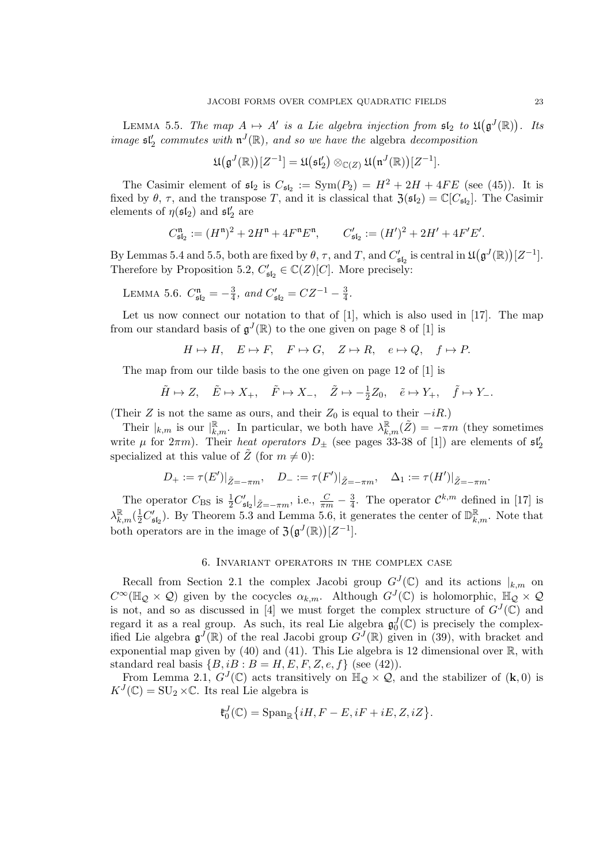LEMMA 5.5. The map  $A \mapsto A'$  is a Lie algebra injection from  $\mathfrak{sl}_2$  to  $\mathfrak{U}(\mathfrak{g}^J(\mathbb{R}))$ . Its image  $\mathfrak{sl}_2'$  commutes with  $\mathfrak{n}^J(\mathbb{R})$ , and so we have the algebra decomposition

$$
\mathfrak{U}(\mathfrak{g}^J(\mathbb{R}))[Z^{-1}] = \mathfrak{U}(\mathfrak{sl}_2') \otimes_{\mathbb{C}(Z)} \mathfrak{U}(\mathfrak{n}^J(\mathbb{R}))[Z^{-1}].
$$

The Casimir element of  $\mathfrak{sl}_2$  is  $C_{\mathfrak{sl}_2} := \text{Sym}(P_2) = H^2 + 2H + 4FE$  (see (45)). It is fixed by  $\theta$ ,  $\tau$ , and the transpose T, and it is classical that  $\mathfrak{Z}(\mathfrak{sl}_2) = \mathbb{C}[C_{\mathfrak{sl}_2}]$ . The Casimir elements of  $\eta(\mathfrak{sl}_2)$  and  $\mathfrak{sl}_2'$  are

$$
C_{\mathfrak{sl}_2}^{\mathfrak{n}} := (H^{\mathfrak{n}})^2 + 2H^{\mathfrak{n}} + 4F^{\mathfrak{n}}E^{\mathfrak{n}}, \qquad C_{\mathfrak{sl}_2}' := (H')^2 + 2H' + 4F'E'.
$$

By Lemmas 5.4 and 5.5, both are fixed by  $\theta$ ,  $\tau$ , and  $T$ , and  $C'_{\mathfrak{sl}_2}$  is central in  $\mathfrak{U}(\mathfrak{g}^J(\mathbb{R}))[Z^{-1}]$ . Therefore by Proposition 5.2,  $C'_{\mathfrak{sl}_2} \in \mathbb{C}(Z)[C]$ . More precisely:

LEMMA 5.6.  $C_{\mathfrak{sl}_2}^{\mathfrak{n}} = -\frac{3}{4}$  $\frac{3}{4}$ , and  $C'_{\mathfrak{sl}_2} = CZ^{-1} - \frac{3}{4}$  $\frac{3}{4}$ .

Let us now connect our notation to that of  $[1]$ , which is also used in  $[17]$ . The map from our standard basis of  $\mathfrak{g}^{J}(\mathbb{R})$  to the one given on page 8 of [1] is

 $H \mapsto H$ ,  $E \mapsto F$ ,  $F \mapsto G$ ,  $Z \mapsto R$ ,  $e \mapsto Q$ ,  $f \mapsto P$ .

The map from our tilde basis to the one given on page 12 of [1] is

 $\tilde{H} \mapsto Z$ ,  $\tilde{E} \mapsto X_+$ ,  $\tilde{F} \mapsto X_-, \quad \tilde{Z} \mapsto -\frac{1}{2}Z_0$ ,  $\tilde{e} \mapsto Y_+$ ,  $\tilde{f} \mapsto Y_-$ .

(Their Z is not the same as ours, and their  $Z_0$  is equal to their  $-iR$ .)

Their  $|_{k,m}$  is our  $\vert_{k,m}^{\mathbb{R}}$ . In particular, we both have  $\lambda_{k,m}^{\mathbb{R}}(\tilde{Z}) = -\pi m$  (they sometimes write  $\mu$  for  $2\pi m$ ). Their *heat operators*  $D_{\pm}$  (see pages 33-38 of [1]) are elements of  $\mathfrak{sl}'_2$ specialized at this value of  $\tilde{Z}$  (for  $m \neq 0$ ):

$$
D_{+} := \tau(E')|_{\tilde{Z}=-\pi m}, \quad D_{-} := \tau(F')|_{\tilde{Z}=-\pi m}, \quad \Delta_{1} := \tau(H')|_{\tilde{Z}=-\pi m}.
$$

The operator  $C_{\text{BS}}$  is  $\frac{1}{2}C'_{\mathfrak{sl}_2}|_{\tilde{Z}=-\pi m}$ , i.e.,  $\frac{C}{\pi m}-\frac{3}{4}$  $\frac{3}{4}$ . The operator  $\mathcal{C}^{k,m}$  defined in [17] is  $\lambda_{k,m}^{\mathbb{R}}(\frac{1}{2}C'_{\mathfrak{sl}_2})$ . By Theorem 5.3 and Lemma 5.6, it generates the center of  $\mathbb{D}_{k,m}^{\mathbb{R}}$ . Note that both operators are in the image of  $\mathfrak{Z}(\mathfrak{g}^J(\mathbb{R}))[Z^{-1}]$ .

## 6. Invariant operators in the complex case

Recall from Section 2.1 the complex Jacobi group  $G^{J}(\mathbb{C})$  and its actions  $|_{k,m}$  on  $C^{\infty}(\mathbb{H}_{\mathcal{Q}}\times\mathcal{Q})$  given by the cocycles  $\alpha_{k,m}$ . Although  $G^{J}(\mathbb{C})$  is holomorphic,  $\mathbb{H}_{\mathcal{Q}}\times\mathcal{Q}$ is not, and so as discussed in [4] we must forget the complex structure of  $G^{J}(\mathbb{C})$  and regard it as a real group. As such, its real Lie algebra  $\mathfrak{g}_0^J(\mathbb{C})$  is precisely the complexified Lie algebra  $\mathfrak{g}^J(\mathbb{R})$  of the real Jacobi group  $G^J(\mathbb{R})$  given in (39), with bracket and exponential map given by (40) and (41). This Lie algebra is 12 dimensional over  $\mathbb{R}$ , with standard real basis  $\{B, iB : B = H, E, F, Z, e, f\}$  (see (42)).

From Lemma 2.1,  $G^{J}(\mathbb{C})$  acts transitively on  $\mathbb{H}_{\mathcal{Q}} \times \mathcal{Q}$ , and the stabilizer of  $(\mathbf{k},0)$  is  $K^{J}(\mathbb{C}) = \text{SU}_2 \times \mathbb{C}$ . Its real Lie algebra is

$$
\mathfrak{k}_0^J(\mathbb{C}) = \mathrm{Span}_{\mathbb{R}} \{ iH, F - E, iF + iE, Z, iZ \}.
$$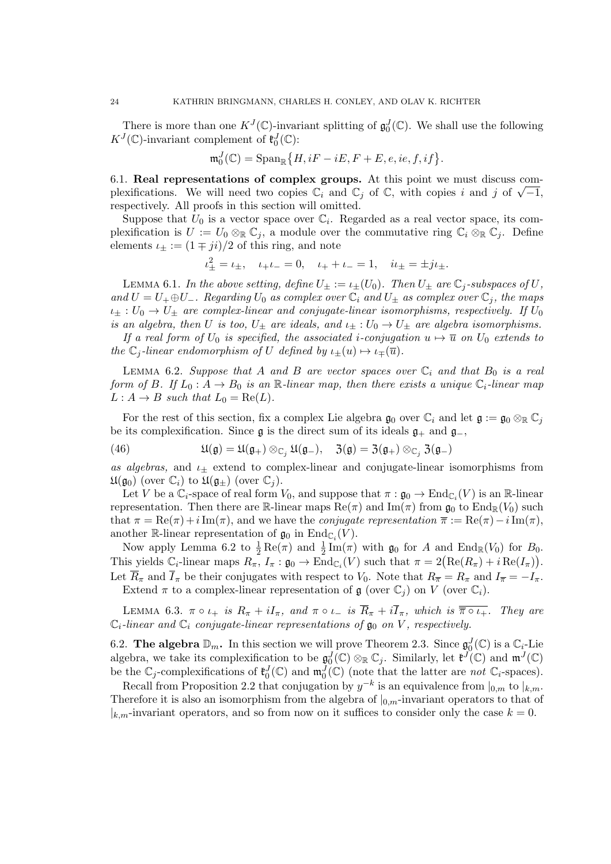There is more than one  $K^J(\mathbb{C})$ -invariant splitting of  $\mathfrak{g}_0^J(\mathbb{C})$ . We shall use the following  $K^J(\mathbb{C})$ -invariant complement of  $\mathfrak{k}_0^J(\mathbb{C})$ :

$$
\mathfrak{m}_0^J(\mathbb{C})=\mathrm{Span}_{\mathbb{R}}\big\{H,iF-iE,F+E,e,ie,f,if\big\}.
$$

6.1. Real representations of complex groups. At this point we must discuss com**b.1. Real representations of complex groups.** At this point we must discuss complexifications. We will need two copies  $\mathbb{C}_i$  and  $\mathbb{C}_j$  of  $\mathbb{C}$ , with copies i and j of  $\sqrt{-1}$ , respectively. All proofs in this section will omitted.

Suppose that  $U_0$  is a vector space over  $\mathbb{C}_i$ . Regarded as a real vector space, its complexification is  $U := U_0 \otimes_{\mathbb{R}} \mathbb{C}_j$ , a module over the commutative ring  $\mathbb{C}_i \otimes_{\mathbb{R}} \mathbb{C}_j$ . Define elements  $\iota_{\pm} := (1 \mp ji)/2$  of this ring, and note

$$
\iota_{\pm}^2 = \iota_{\pm}, \quad \iota_{+}\iota_{-} = 0, \quad \iota_{+} + \iota_{-} = 1, \quad i\iota_{\pm} = \pm j\iota_{\pm}.
$$

LEMMA 6.1. In the above setting, define  $U_{\pm} := \iota_{\pm}(U_0)$ . Then  $U_{\pm}$  are  $\mathbb{C}_j$ -subspaces of U, and  $U = U_+ \oplus U_-$ . Regarding  $U_0$  as complex over  $\mathbb{C}_i$  and  $U_{\pm}$  as complex over  $\mathbb{C}_j$ , the maps  $\iota_{\pm}: U_0 \to U_{\pm}$  are complex-linear and conjugate-linear isomorphisms, respectively. If  $U_0$ is an algebra, then U is too,  $U_{\pm}$  are ideals, and  $\iota_{\pm}: U_0 \to U_{\pm}$  are algebra isomorphisms.

If a real form of  $U_0$  is specified, the associated i-conjugation  $u \mapsto \overline{u}$  on  $U_0$  extends to the  $\mathbb{C}_j$ -linear endomorphism of U defined by  $\iota_{\pm}(u) \mapsto \iota_{\mp}(\overline{u}).$ 

LEMMA 6.2. Suppose that A and B are vector spaces over  $\mathbb{C}_i$  and that  $B_0$  is a real form of B. If  $L_0: A \to B_0$  is an R-linear map, then there exists a unique  $\mathbb{C}_i$ -linear map  $L : A \rightarrow B$  such that  $L_0 = \text{Re}(L)$ .

For the rest of this section, fix a complex Lie algebra  $\mathfrak{g}_0$  over  $\mathbb{C}_i$  and let  $\mathfrak{g} := \mathfrak{g}_0 \otimes_{\mathbb{R}} \mathbb{C}_j$ be its complexification. Since  $\mathfrak g$  is the direct sum of its ideals  $\mathfrak g_+$  and  $\mathfrak g_-,$ 

(46) 
$$
\mathfrak{U}(\mathfrak{g}) = \mathfrak{U}(\mathfrak{g}_+) \otimes_{\mathbb{C}_j} \mathfrak{U}(\mathfrak{g}_-), \quad \mathfrak{Z}(\mathfrak{g}) = \mathfrak{Z}(\mathfrak{g}_+) \otimes_{\mathbb{C}_j} \mathfrak{Z}(\mathfrak{g}_-)
$$

as algebras, and  $\iota$ + extend to complex-linear and conjugate-linear isomorphisms from  $\mathfrak{U}(\mathfrak{g}_0)$  (over  $\mathbb{C}_i$ ) to  $\mathfrak{U}(\mathfrak{g}_+)$  (over  $\mathbb{C}_i$ ).

Let V be a  $\mathbb{C}_i$ -space of real form  $V_0$ , and suppose that  $\pi : \mathfrak{g}_0 \to \text{End}_{\mathbb{C}_i}(V)$  is an R-linear representation. Then there are R-linear maps  $\text{Re}(\pi)$  and  $\text{Im}(\pi)$  from  $\mathfrak{g}_0$  to  $\text{End}_{\mathbb{R}}(V_0)$  such that  $\pi = \text{Re}(\pi) + i \text{Im}(\pi)$ , and we have the *conjugate representation*  $\overline{\pi} := \text{Re}(\pi) - i \text{Im}(\pi)$ , another R-linear representation of  $\mathfrak{g}_0$  in  $\mathrm{End}_{\mathbb{C}_i}(V)$ .

Now apply Lemma 6.2 to  $\frac{1}{2} \text{Re}(\pi)$  and  $\frac{1}{2} \text{Im}(\pi)$  with  $\mathfrak{g}_0$  for A and  $\text{End}_{\mathbb{R}}(V_0)$  for  $B_0$ . This yields  $\mathbb{C}_i$ -linear maps  $R_\pi$ ,  $I_\pi : \mathfrak{g}_0 \to \text{End}_{\mathbb{C}_i}(V)$  such that  $\pi = 2(\text{Re}(R_\pi) + i \text{Re}(I_\pi)).$ Let  $\overline{R}_{\pi}$  and  $\overline{I}_{\pi}$  be their conjugates with respect to  $V_0$ . Note that  $R_{\overline{n}} = R_{\pi}$  and  $I_{\overline{n}} = -I_{\pi}$ .

Extend  $\pi$  to a complex-linear representation of  $\mathfrak g$  (over  $\mathbb C_i$ ) on V (over  $\mathbb C_i$ ).

LEMMA 6.3.  $\pi \circ \iota_+$  is  $R_\pi + iI_\pi$ , and  $\pi \circ \iota_-$  is  $\overline{R}_\pi + i\overline{I}_\pi$ , which is  $\overline{\pi \circ \iota_+}$ . They are  $\mathbb{C}_i$ -linear and  $\mathbb{C}_i$  conjugate-linear representations of  $\mathfrak{g}_0$  on V, respectively.

6.2. The algebra  $\mathbb{D}_m$ . In this section we will prove Theorem 2.3. Since  $\mathfrak{g}_0^J(\mathbb{C})$  is a  $\mathbb{C}_i$ -Lie algebra, we take its complexification to be  $\mathfrak{g}_0^J(\mathbb{C}) \otimes_{\mathbb{R}} \mathbb{C}_j$ . Similarly, let  $\mathfrak{k}^J(\mathbb{C})$  and  $\mathfrak{m}^J(\mathbb{C})$ be the  $\mathbb{C}_j$ -complexifications of  $\mathfrak{k}_0^J(\mathbb{C})$  and  $\mathfrak{m}_0^J(\mathbb{C})$  (note that the latter are not  $\mathbb{C}_i$ -spaces).

Recall from Proposition 2.2 that conjugation by  $y^{-k}$  is an equivalence from  $|_{0,m}$  to  $|_{k,m}$ . Therefore it is also an isomorphism from the algebra of  $|_{0,m}$ -invariant operators to that of  $|k_m$ -invariant operators, and so from now on it suffices to consider only the case  $k = 0$ .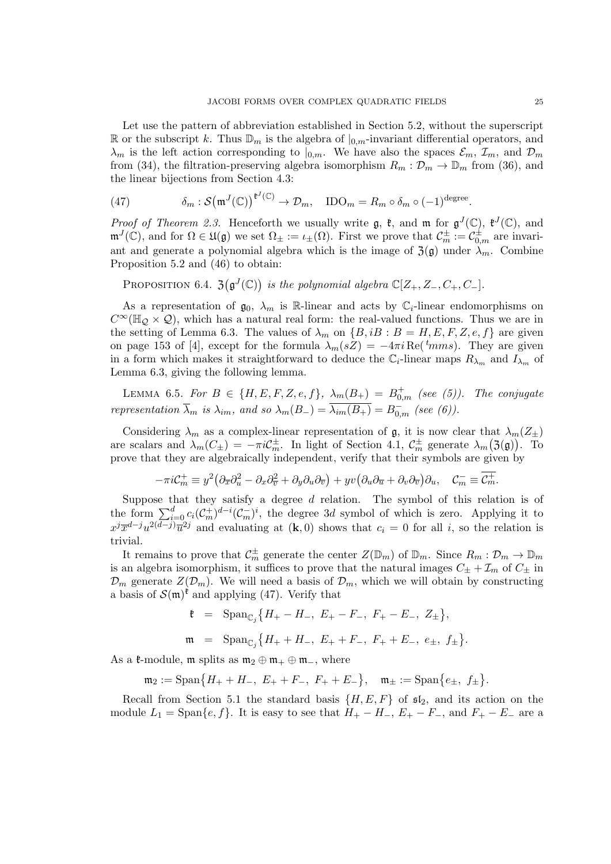Let use the pattern of abbreviation established in Section 5.2, without the superscript R or the subscript k. Thus  $\mathbb{D}_m$  is the algebra of  $|_{0,m}$ -invariant differential operators, and  $\lambda_m$  is the left action corresponding to  $|_{0,m}$ . We have also the spaces  $\mathcal{E}_m$ ,  $\mathcal{I}_m$ , and  $\mathcal{D}_m$ from (34), the filtration-preserving algebra isomorphism  $R_m : \mathcal{D}_m \to \mathbb{D}_m$  from (36), and the linear bijections from Section 4.3:

(47) 
$$
\delta_m : \mathcal{S}(\mathfrak{m}^J(\mathbb{C}))^{\mathfrak{k}^J(\mathbb{C})} \to \mathcal{D}_m, \quad \text{IDO}_m = R_m \circ \delta_m \circ (-1)^{\text{degree}}.
$$

*Proof of Theorem 2.3.* Henceforth we usually write  $\mathfrak{g}$ ,  $\mathfrak{k}$ , and  $\mathfrak{m}$  for  $\mathfrak{g}^{J}(\mathbb{C})$ ,  $\mathfrak{k}^{J}(\mathbb{C})$ , and  $\mathfrak{m}^{J}(\mathbb{C})$ , and for  $\Omega \in \mathfrak{U}(\mathfrak{g})$  we set  $\Omega_{\pm} := \iota_{\pm}(\Omega)$ . First we prove that  $\mathcal{C}_{m}^{\pm} := \mathcal{C}_{0,m}^{\pm}$  are invariant and generate a polynomial algebra which is the image of  $\mathfrak{Z}(\mathfrak{g})$  under  $\lambda_m$ . Combine Proposition 5.2 and (46) to obtain:

PROPOSITION 6.4.  $\mathfrak{Z}(\mathfrak{g}^J(\mathbb{C}))$  is the polynomial algebra  $\mathbb{C}[Z_+, Z_-, C_+, C_-].$ 

As a representation of  $\mathfrak{g}_0$ ,  $\lambda_m$  is R-linear and acts by  $\mathbb{C}_i$ -linear endomorphisms on  $C^{\infty}(\mathbb{H}_{\mathcal{O}} \times \mathcal{Q})$ , which has a natural real form: the real-valued functions. Thus we are in the setting of Lemma 6.3. The values of  $\lambda_m$  on  $\{B, iB : B = H, E, F, Z, e, f\}$  are given on page 153 of [4], except for the formula  $\lambda_m(sZ) = -4\pi i \text{Re}(t_{mms})$ . They are given in a form which makes it straightforward to deduce the  $\mathbb{C}_i$ -linear maps  $R_{\lambda_m}$  and  $I_{\lambda_m}$  of Lemma 6.3, giving the following lemma.

LEMMA 6.5. For  $B \in \{H, E, F, Z, e, f\}$ ,  $\lambda_m(B_+) = B^+_{0,m}$  (see (5)). The conjugate representation  $\overline{\lambda}_m$  is  $\lambda_{im}$ , and so  $\lambda_m(B_-) = \overline{\lambda_{im}(B_+)} = B_{0,m}^-$  (see (6)).

Considering  $\lambda_m$  as a complex-linear representation of g, it is now clear that  $\lambda_m(Z_\pm)$ are scalars and  $\lambda_m(C_{\pm}) = -\pi i C_m^{\pm}$ . In light of Section 4.1,  $C_m^{\pm}$  generate  $\lambda_m(\mathfrak{Z}(\mathfrak{g}))$ . To prove that they are algebraically independent, verify that their symbols are given by

$$
-\pi i \mathcal{C}_m^+ \equiv y^2 \big(\partial_{\overline{x}} \partial_u^2 - \partial_x \partial_{\overline{v}}^2 + \partial_y \partial_u \partial_{\overline{v}}\big) + yv \big(\partial_u \partial_{\overline{u}} + \partial_v \partial_{\overline{v}}\big) \partial_u, \quad \mathcal{C}_m^- \equiv \overline{\mathcal{C}_m^+}.
$$

Suppose that they satisfy a degree  $d$  relation. The symbol of this relation is of the form  $\sum_{i=0}^d c_i(\mathcal{C}_m^+)^{d-i}(\mathcal{C}_m^-)^i$ , the degree 3d symbol of which is zero. Applying it to  $x^j \overline{x}^{d-j} u^{2(d-j)} \overline{u}^{2j}$  and evaluating at  $(k, 0)$  shows that  $c_i = 0$  for all i, so the relation is trivial.

It remains to prove that  $C_m^{\pm}$  generate the center  $Z(\mathbb{D}_m)$  of  $\mathbb{D}_m$ . Since  $R_m: \mathcal{D}_m \to \mathbb{D}_m$ is an algebra isomorphism, it suffices to prove that the natural images  $C_{\pm} + \mathcal{I}_m$  of  $C_{\pm}$  in  $\mathcal{D}_m$  generate  $Z(\mathcal{D}_m)$ . We will need a basis of  $\mathcal{D}_m$ , which we will obtain by constructing a basis of  $\mathcal{S}(\mathfrak{m})^{\mathfrak{k}}$  and applying (47). Verify that

$$
\begin{array}{rcl}\n\mathfrak{k} & = & \text{Span}_{\mathbb{C}_j} \left\{ H_+ - H_-, \ E_+ - F_-, \ F_+ - E_-, \ Z_\pm \right\}, \\
\mathfrak{m} & = & \text{Span}_{\mathbb{C}_j} \left\{ H_+ + H_-, \ E_+ + F_-, \ F_+ + E_-, \ e_\pm, \ f_\pm \right\}.\n\end{array}
$$

As a  $\mathfrak{k}\text{-module}$ ,  $\mathfrak{m}$  splits as  $\mathfrak{m}_2 \oplus \mathfrak{m}_+ \oplus \mathfrak{m}_-$ , where

 $\mathfrak{m}_2 := \text{Span}\big\{H_+ + H_-, E_+ + F_-, F_+ + E_-\big\}, \quad \mathfrak{m}_\pm := \text{Span}\big\{e_\pm, f_\pm\big\}.$ 

Recall from Section 5.1 the standard basis  $\{H, E, F\}$  of  $\mathfrak{sl}_2$ , and its action on the module  $L_1 = \text{Span}\{e, f\}$ . It is easy to see that  $H_+ - H_-, E_+ - F_-,$  and  $F_+ - E_-$  are a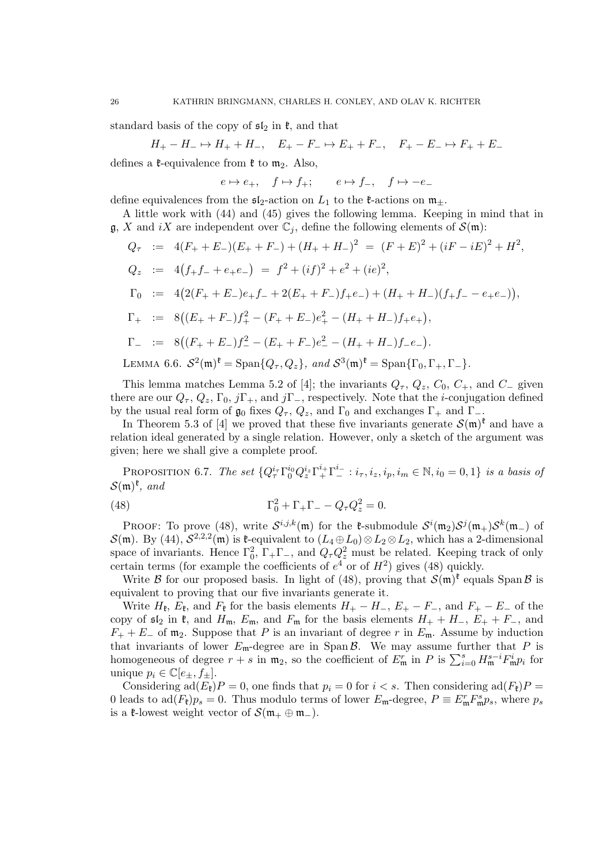standard basis of the copy of  $\mathfrak{sl}_2$  in  $\mathfrak{k}$ , and that

$$
H_+-H_- \mapsto H_+ + H_-, \quad E_+-F_- \mapsto E_+ + F_-, \quad F_+-E_- \mapsto F_+ + E_-
$$

defines a  $\mathfrak{k}$ -equivalence from  $\mathfrak{k}$  to  $\mathfrak{m}_2$ . Also,

 $e \mapsto e_+$ ,  $f \mapsto f_+$ ;  $e \mapsto f_-,$   $f \mapsto -e_-$ 

define equivalences from the  $\mathfrak{sl}_2$ -action on  $L_1$  to the  $\mathfrak{k}$ -actions on  $\mathfrak{m}_\pm$ .

A little work with (44) and (45) gives the following lemma. Keeping in mind that in  $\mathfrak{g}, X$  and iX are independent over  $\mathbb{C}_i$ , define the following elements of  $\mathcal{S}(\mathfrak{m})$ :

$$
Q_{\tau} := 4(F_{+} + E_{-})(E_{+} + F_{-}) + (H_{+} + H_{-})^{2} = (F + E)^{2} + (iF - iE)^{2} + H^{2},
$$
  
\n
$$
Q_{z} := 4(f_{+}f_{-} + e_{+}e_{-}) = f^{2} + (if)^{2} + e^{2} + (ie)^{2},
$$
  
\n
$$
\Gamma_{0} := 4(2(F_{+} + E_{-})e_{+}f_{-} + 2(E_{+} + F_{-})f_{+}e_{-}) + (H_{+} + H_{-})(f_{+}f_{-} - e_{+}e_{-})),
$$
  
\n
$$
\Gamma_{+} := 8((E_{+} + F_{-})f_{+}^{2} - (F_{+} + E_{-})e_{+}^{2} - (H_{+} + H_{-})f_{+}e_{+}),
$$
  
\n
$$
\Gamma_{-} := 8((F_{+} + E_{-})f_{-}^{2} - (E_{+} + F_{-})e_{-}^{2} - (H_{+} + H_{-})f_{-}e_{-}).
$$
  
\nLEMMA 6.6.  $S^{2}(m)^{t} = \text{Span}\{Q_{\tau}, Q_{z}\}, \text{ and } S^{3}(m)^{t} = \text{Span}\{\Gamma_{0}, \Gamma_{+}, \Gamma_{-}\}.$ 

This lemma matches Lemma 5.2 of [4]; the invariants  $Q_{\tau}$ ,  $Q_z$ ,  $C_0$ ,  $C_+$ , and  $C_-\$  given there are our  $Q_{\tau}$ ,  $Q_z$ ,  $\Gamma_0$ ,  $j\Gamma_+$ , and  $j\Gamma_-$ , respectively. Note that the *i*-conjugation defined by the usual real form of  $\mathfrak{g}_0$  fixes  $Q_\tau$ ,  $Q_z$ , and  $\Gamma_0$  and exchanges  $\Gamma_+$  and  $\Gamma_-$ .

In Theorem 5.3 of [4] we proved that these five invariants generate  $\mathcal{S}(\mathfrak{m})^{\mathfrak{k}}$  and have a relation ideal generated by a single relation. However, only a sketch of the argument was given; here we shall give a complete proof.

PROPOSITION 6.7. The set  ${Q_{\tau}^{i_{\tau}}} \Gamma_0^{i_0} Q_{z}^{i_z} \Gamma_+^{i_+} \Gamma_-^{i_-} : i_{\tau}, i_z, i_p, i_m \in \mathbb{N}, i_0 = 0, 1}$  is a basis of  $S(\mathfrak{m})^{\mathfrak{k}},$  and

(48) 
$$
\Gamma_0^2 + \Gamma_+ \Gamma_- - Q_\tau Q_z^2 = 0.
$$

PROOF: To prove (48), write  $S^{i,j,k}(\mathfrak{m})$  for the  $\mathfrak{k}$ -submodule  $S^i(\mathfrak{m}_2)S^j(\mathfrak{m}_+)S^k(\mathfrak{m}_-)$  of  $\mathcal{S}(\mathfrak{m})$ . By (44),  $\mathcal{S}^{2,2,2}(\mathfrak{m})$  is  $\mathfrak{k}$ -equivalent to  $(L_4 \oplus L_0) \otimes L_2 \otimes L_2$ , which has a 2-dimensional space of invariants. Hence  $\Gamma_0^2$ ,  $\Gamma_+\Gamma_-,$  and  $Q_\tau Q_z^2$  must be related. Keeping track of only certain terms (for example the coefficients of  $e^4$  or of  $H^2$ ) gives (48) quickly.

Write B for our proposed basis. In light of (48), proving that  $S(\mathfrak{m})^{\mathfrak{k}}$  equals Span B is equivalent to proving that our five invariants generate it.

Write  $H_{\mathfrak{k}}$ ,  $E_{\mathfrak{k}}$ , and  $F_{\mathfrak{k}}$  for the basis elements  $H_+ - H_-, E_+ - F_-,$  and  $F_+ - E_-$  of the copy of  $\mathfrak{sl}_2$  in  $\mathfrak{k}$ , and  $H_{\mathfrak{m}}$ ,  $E_{\mathfrak{m}}$ , and  $F_{\mathfrak{m}}$  for the basis elements  $H_+ + H_-$ ,  $E_+ + F_-$ , and  $F_+ + E_-$  of  $\mathfrak{m}_2$ . Suppose that P is an invariant of degree r in  $E_{\mathfrak{m}}$ . Assume by induction that invariants of lower  $E_{\rm m}$ -degree are in Span  $\beta$ . We may assume further that P is homogeneous of degree  $r + s$  in  $m_2$ , so the coefficient of  $E_m^r$  in P is  $\sum_{i=0}^s H_m^{s-i} F_m^i p_i$  for unique  $p_i \in \mathbb{C}[e_+, f_+]$ .

Considering ad( $E_{\ell}$ ) $P = 0$ , one finds that  $p_i = 0$  for  $i < s$ . Then considering ad( $F_{\ell}$ ) $P =$ 0 leads to  $ad(F_{\mathfrak{k}})p_s = 0$ . Thus modulo terms of lower  $E_{\mathfrak{m}}$ -degree,  $P \equiv E_{\mathfrak{m}}^r F_{\mathfrak{m}}^s p_s$ , where  $p_s$ is a **t**-lowest weight vector of  $S(\mathfrak{m}_+ \oplus \mathfrak{m}_-)$ .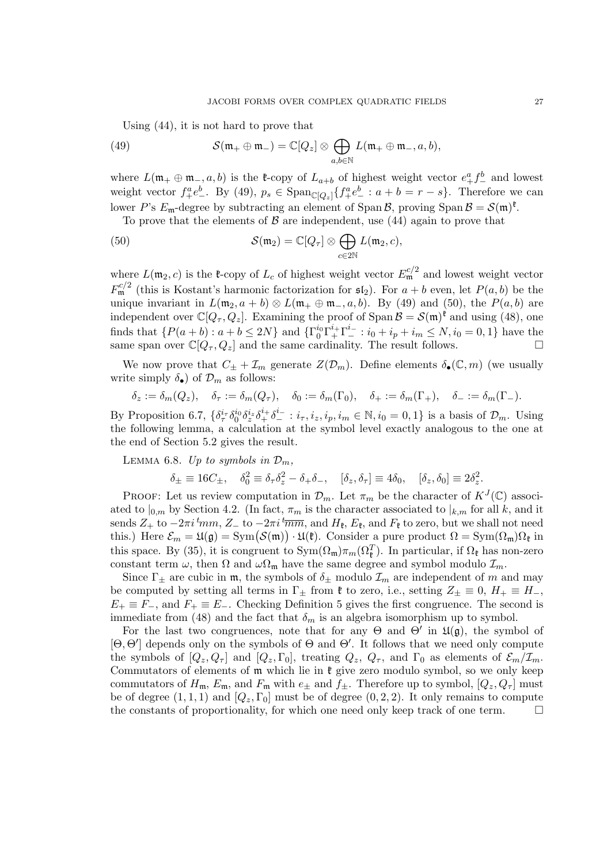Using (44), it is not hard to prove that

(49) 
$$
\mathcal{S}(\mathfrak{m}_+ \oplus \mathfrak{m}_-) = \mathbb{C}[Q_z] \otimes \bigoplus_{a,b \in \mathbb{N}} L(\mathfrak{m}_+ \oplus \mathfrak{m}_-, a, b),
$$

where  $L(\mathfrak{m}_+ \oplus \mathfrak{m}_-, a, b)$  is the  $\mathfrak{k}$ -copy of  $L_{a+b}$  of highest weight vector  $e_+^a f_-^b$  and lowest weight vector  $f_+^a e_-^b$ . By (49),  $p_s \in \text{Span}_{\mathbb{C}[Q_z]} \{ f_+^a e_-^b : a+b=r-s \}$ . Therefore we can lower P's  $E_{\mathfrak{m}}$ -degree by subtracting an element of Span  $\mathcal{B}$ , proving Span  $\mathcal{B} = \mathcal{S}(\mathfrak{m})^{\mathfrak{k}}$ .

To prove that the elements of  $\beta$  are independent, use (44) again to prove that

(50) 
$$
\mathcal{S}(\mathfrak{m}_2) = \mathbb{C}[Q_\tau] \otimes \bigoplus_{c \in 2\mathbb{N}} L(\mathfrak{m}_2, c),
$$

where  $L(\mathfrak{m}_2, c)$  is the  $\mathfrak{k}$ -copy of  $L_c$  of highest weight vector  $E_{\mathfrak{m}}^{c/2}$  and lowest weight vector  $F_{\mathfrak{m}}^{c/2}$  (this is Kostant's harmonic factorization for  $\mathfrak{sl}_2$ ). For  $a + b$  even, let  $P(a, b)$  be the unique invariant in  $L(\mathfrak{m}_2, a + b) \otimes L(\mathfrak{m}_+ \oplus \mathfrak{m}_-, a, b)$ . By (49) and (50), the  $P(a, b)$  are independent over  $\mathbb{C}[Q_{\tau}, Q_z]$ . Examining the proof of Span  $\mathcal{B} = \mathcal{S}(\mathfrak{m})^{\mathfrak{k}}$  and using (48), one finds that  $\{P(a+b): a+b \leq 2N\}$  and  $\{\Gamma_0^{i_0}\Gamma_+^{i_+}\Gamma_-^{i_-}: i_0+i_p+i_m \leq N, i_0=0,1\}$  have the same span over  $\mathbb{C}[Q_{\tau}, Q_z]$  and the same cardinality. The result follows.

We now prove that  $C_{\pm} + \mathcal{I}_m$  generate  $Z(\mathcal{D}_m)$ . Define elements  $\delta_{\bullet}(\mathbb{C}, m)$  (we usually write simply  $\delta_{\bullet}$ ) of  $\mathcal{D}_m$  as follows:

$$
\delta_z := \delta_m(Q_z), \quad \delta_\tau := \delta_m(Q_\tau), \quad \delta_0 := \delta_m(\Gamma_0), \quad \delta_+ := \delta_m(\Gamma_+), \quad \delta_- := \delta_m(\Gamma_-).
$$

By Proposition 6.7,  $\{\delta_\tau^{i_\tau}\delta_0^{i_0}\delta_z^{i_z}\delta_+^{i_+}\delta_-^{i_-}:i_\tau,i_z,i_p,i_m\in\mathbb{N},i_0=0,1\}$  is a basis of  $\mathcal{D}_m$ . Using the following lemma, a calculation at the symbol level exactly analogous to the one at the end of Section 5.2 gives the result.

LEMMA 6.8. Up to symbols in  $\mathcal{D}_m$ ,

$$
\delta_{\pm} \equiv 16C_{\pm}, \quad \delta_0^2 \equiv \delta_{\tau}\delta_z^2 - \delta_{+}\delta_{-}, \quad [\delta_z, \delta_{\tau}] \equiv 4\delta_0, \quad [\delta_z, \delta_0] \equiv 2\delta_z^2.
$$

PROOF: Let us review computation in  $\mathcal{D}_m$ . Let  $\pi_m$  be the character of  $K^J(\mathbb{C})$  associated to  $|_{0,m}$  by Section 4.2. (In fact,  $\pi_m$  is the character associated to  $|_{k,m}$  for all k, and it sends  $Z_+$  to  $-2\pi i \frac{t_{mm}}{Z}$ ,  $Z_-$  to  $-2\pi i \frac{t_{mm}}{Z}$ , and  $H_{\mathfrak{k}}$ ,  $E_{\mathfrak{k}}$ , and  $F_{\mathfrak{k}}$  to zero, but we shall not need this.) Here  $\mathcal{E}_m = \mathfrak{U}(\mathfrak{g}) = \text{Sym}(\mathcal{S}(\mathfrak{m})) \cdot \mathfrak{U}(\mathfrak{k})$ . Consider a pure product  $\Omega = \text{Sym}(\Omega_m)\Omega_{\mathfrak{k}}$  in this space. By (35), it is congruent to  $Sym(\Omega_m)\pi_m(\Omega_{\ell}^T)$ . In particular, if  $\Omega_{\ell}$  has non-zero constant term  $\omega$ , then  $\Omega$  and  $\omega\Omega_{\rm m}$  have the same degree and symbol modulo  $\mathcal{I}_m$ .

Since  $\Gamma_{\pm}$  are cubic in m, the symbols of  $\delta_{\pm}$  modulo  $\mathcal{I}_m$  are independent of m and may be computed by setting all terms in  $\Gamma_+$  from  $\mathfrak k$  to zero, i.e., setting  $Z_+ \equiv 0$ ,  $H_+ \equiv H_-$ ,  $E_+ \equiv F_-,$  and  $F_+ \equiv E_-.$  Checking Definition 5 gives the first congruence. The second is immediate from (48) and the fact that  $\delta_m$  is an algebra isomorphism up to symbol.

For the last two congruences, note that for any  $\Theta$  and  $\Theta'$  in  $\mathfrak{U}(\mathfrak{g})$ , the symbol of  $[\Theta, \Theta']$  depends only on the symbols of  $\Theta$  and  $\Theta'$ . It follows that we need only compute the symbols of  $[Q_z, Q_\tau]$  and  $[Q_z, \Gamma_0]$ , treating  $Q_z$ ,  $Q_\tau$ , and  $\Gamma_0$  as elements of  $\mathcal{E}_m/\mathcal{I}_m$ . Commutators of elements of  $m$  which lie in  $\mathfrak k$  give zero modulo symbol, so we only keep commutators of  $H_{\mathfrak{m}}$ ,  $E_{\mathfrak{m}}$ , and  $F_{\mathfrak{m}}$  with  $e_{\pm}$  and  $f_{\pm}$ . Therefore up to symbol,  $[Q_z, Q_{\tau}]$  must be of degree  $(1, 1, 1)$  and  $[Q_z, \Gamma_0]$  must be of degree  $(0, 2, 2)$ . It only remains to compute the constants of proportionality, for which one need only keep track of one term.  $\Box$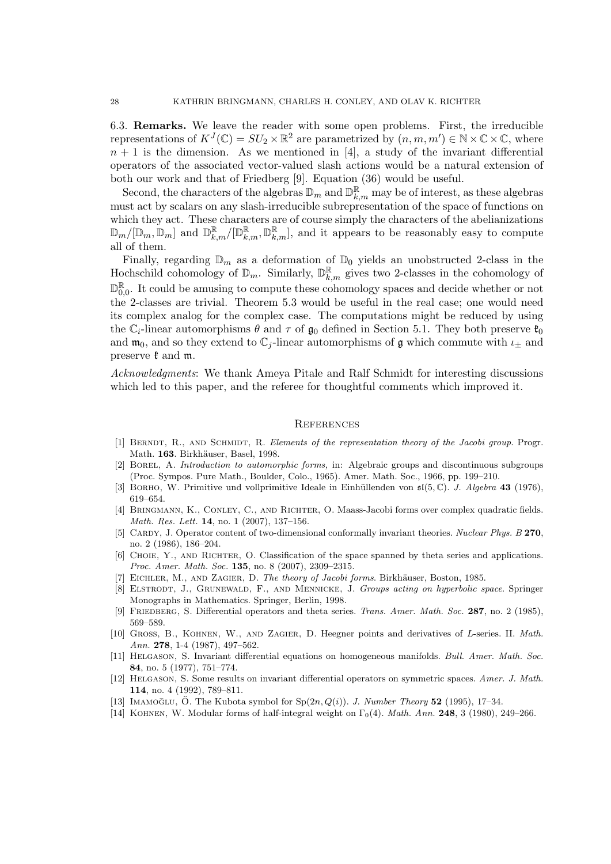6.3. Remarks. We leave the reader with some open problems. First, the irreducible representations of  $K^{J}(\mathbb{C}) = SU_2 \times \mathbb{R}^2$  are parametrized by  $(n, m, m') \in \mathbb{N} \times \mathbb{C} \times \mathbb{C}$ , where  $n + 1$  is the dimension. As we mentioned in [4], a study of the invariant differential operators of the associated vector-valued slash actions would be a natural extension of both our work and that of Friedberg [9]. Equation (36) would be useful.

Second, the characters of the algebras  $\mathbb{D}_m$  and  $\mathbb{D}_{k,m}^{\mathbb{R}}$  may be of interest, as these algebras must act by scalars on any slash-irreducible subrepresentation of the space of functions on which they act. These characters are of course simply the characters of the abelianizations  $\mathbb{D}_{m}/[\mathbb{D}_{m}, \mathbb{D}_{m}]$  and  $\mathbb{D}_{k,m}^{\mathbb{R}}/[\mathbb{D}_{k,m}^{\mathbb{R}}, \mathbb{D}_{k,m}^{\mathbb{R}}]$ , and it appears to be reasonably easy to compute all of them.

Finally, regarding  $\mathbb{D}_m$  as a deformation of  $\mathbb{D}_0$  yields an unobstructed 2-class in the Hochschild cohomology of  $\mathbb{D}_m$ . Similarly,  $\mathbb{D}_{k,m}^{\mathbb{R}}$  gives two 2-classes in the cohomology of D R  $_{0,0}^{\mathbb{R}}$ . It could be amusing to compute these cohomology spaces and decide whether or not the 2-classes are trivial. Theorem 5.3 would be useful in the real case; one would need its complex analog for the complex case. The computations might be reduced by using the  $\mathbb{C}_i$ -linear automorphisms  $\theta$  and  $\tau$  of  $\mathfrak{g}_0$  defined in Section 5.1. They both preserve  $\mathfrak{k}_0$ and  $\mathfrak{m}_0$ , and so they extend to  $\mathbb{C}_j$ -linear automorphisms of  $\mathfrak g$  which commute with  $\iota_\pm$  and preserve  $\mathfrak k$  and  $\mathfrak m$ .

Acknowledgments: We thank Ameya Pitale and Ralf Schmidt for interesting discussions which led to this paper, and the referee for thoughtful comments which improved it.

### **REFERENCES**

- [1] BERNDT, R., AND SCHMIDT, R. Elements of the representation theory of the Jacobi group. Progr. Math. 163. Birkhäuser, Basel, 1998.
- [2] Borel, A. Introduction to automorphic forms, in: Algebraic groups and discontinuous subgroups (Proc. Sympos. Pure Math., Boulder, Colo., 1965). Amer. Math. Soc., 1966, pp. 199–210.
- [3] BORHO, W. Primitive und vollprimitive Ideale in Einhüllenden von  $\mathfrak{sl}(5,\mathbb{C})$ . *J. Algebra* **43** (1976), 619–654.
- [4] BRINGMANN, K., CONLEY, C., AND RICHTER, O. Maass-Jacobi forms over complex quadratic fields. Math. Res. Lett. 14, no. 1 (2007), 137–156.
- [5] CARDY, J. Operator content of two-dimensional conformally invariant theories. Nuclear Phys. B 270, no. 2 (1986), 186–204.
- [6] CHOIE, Y., AND RICHTER, O. Classification of the space spanned by theta series and applications. Proc. Amer. Math. Soc. 135, no. 8 (2007), 2309–2315.
- [7] EICHLER, M., AND ZAGIER, D. The theory of Jacobi forms. Birkhäuser, Boston, 1985.
- [8] ELSTRODT, J., GRUNEWALD, F., AND MENNICKE, J. Groups acting on hyperbolic space. Springer Monographs in Mathematics. Springer, Berlin, 1998.
- [9] FRIEDBERG, S. Differential operators and theta series. Trans. Amer. Math. Soc. 287, no. 2 (1985), 569–589.
- [10] GROSS, B., KOHNEN, W., AND ZAGIER, D. Heegner points and derivatives of L-series. II. Math. Ann. 278, 1-4 (1987), 497–562.
- [11] HELGASON, S. Invariant differential equations on homogeneous manifolds. Bull. Amer. Math. Soc. 84, no. 5 (1977), 751–774.
- [12] Helgason, S. Some results on invariant differential operators on symmetric spaces. Amer. J. Math. 114, no. 4 (1992), 789–811.
- [13] IMAMOGLU, O. The Kubota symbol for  $Sp(2n, Q(i))$ . J. Number Theory 52 (1995), 17–34.
- [14] KOHNEN, W. Modular forms of half-integral weight on  $\Gamma_0(4)$ . Math. Ann. 248, 3 (1980), 249–266.